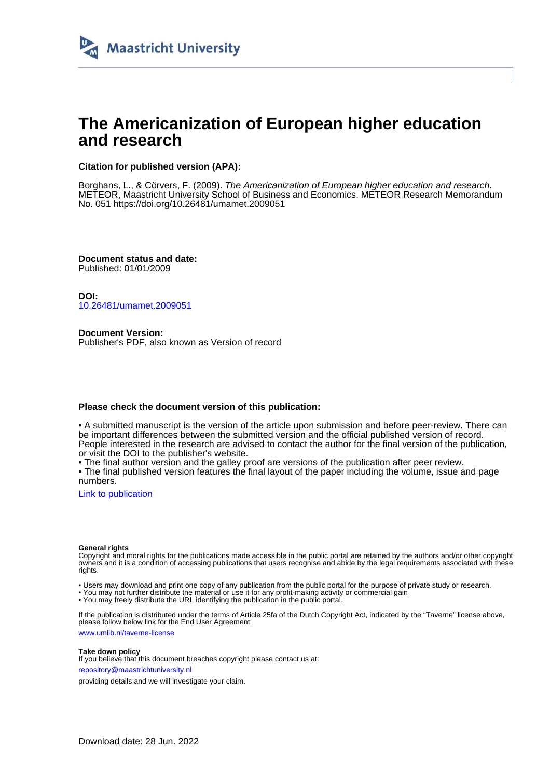

# **The Americanization of European higher education and research**

#### **Citation for published version (APA):**

Borghans, L., & Cörvers, F. (2009). The Americanization of European higher education and research. METEOR, Maastricht University School of Business and Economics. METEOR Research Memorandum No. 051 <https://doi.org/10.26481/umamet.2009051>

**Document status and date:** Published: 01/01/2009

**DOI:** [10.26481/umamet.2009051](https://doi.org/10.26481/umamet.2009051)

**Document Version:** Publisher's PDF, also known as Version of record

#### **Please check the document version of this publication:**

• A submitted manuscript is the version of the article upon submission and before peer-review. There can be important differences between the submitted version and the official published version of record. People interested in the research are advised to contact the author for the final version of the publication, or visit the DOI to the publisher's website.

• The final author version and the galley proof are versions of the publication after peer review.

• The final published version features the final layout of the paper including the volume, issue and page numbers.

[Link to publication](https://cris.maastrichtuniversity.nl/en/publications/d676cccc-6159-4303-8f59-7cb3b6d4cb07)

#### **General rights**

Copyright and moral rights for the publications made accessible in the public portal are retained by the authors and/or other copyright owners and it is a condition of accessing publications that users recognise and abide by the legal requirements associated with these rights.

• Users may download and print one copy of any publication from the public portal for the purpose of private study or research.

• You may not further distribute the material or use it for any profit-making activity or commercial gain

• You may freely distribute the URL identifying the publication in the public portal.

If the publication is distributed under the terms of Article 25fa of the Dutch Copyright Act, indicated by the "Taverne" license above, please follow below link for the End User Agreement:

www.umlib.nl/taverne-license

#### **Take down policy**

If you believe that this document breaches copyright please contact us at: repository@maastrichtuniversity.nl

providing details and we will investigate your claim.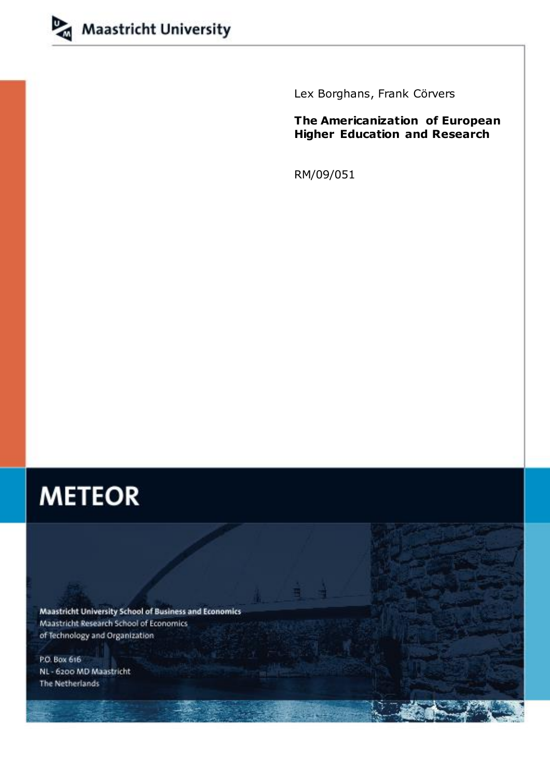

Lex Borghans, Frank Cörvers

**The Americanization of European Higher Education and Research**

RM/09/051

# **METEOR**

Maastricht University School of Business and Economics Maastricht Research School of Economics of Technology and Organization

P.O. Box 616 NL - 6200 MD Maastricht The Netherlands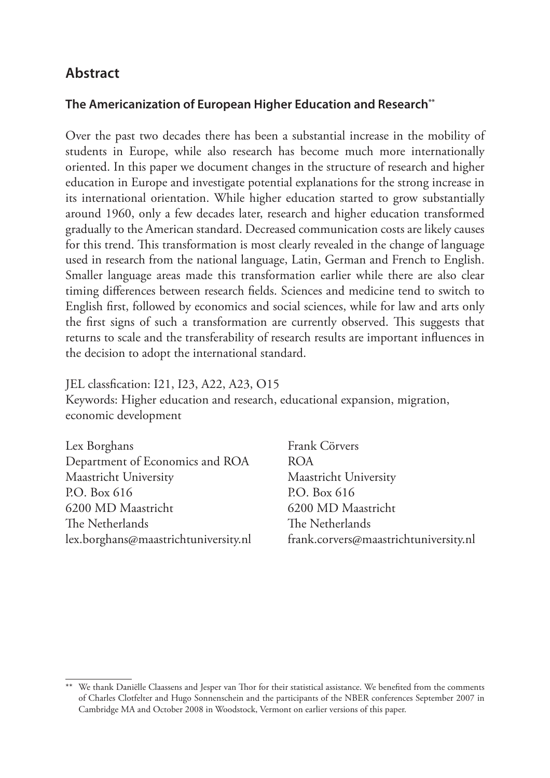# **Abstract**

# **The Americanization of European Higher Education and Research\*\***

Over the past two decades there has been a substantial increase in the mobility of students in Europe, while also research has become much more internationally oriented. In this paper we document changes in the structure of research and higher education in Europe and investigate potential explanations for the strong increase in its international orientation. While higher education started to grow substantially around 1960, only a few decades later, research and higher education transformed gradually to the American standard. Decreased communication costs are likely causes for this trend. This transformation is most clearly revealed in the change of language used in research from the national language, Latin, German and French to English. Smaller language areas made this transformation earlier while there are also clear timing differences between research fields. Sciences and medicine tend to switch to English first, followed by economics and social sciences, while for law and arts only the first signs of such a transformation are currently observed. This suggests that returns to scale and the transferability of research results are important influences in the decision to adopt the international standard.

JEL classfication: I21, I23, A22, A23, O15 Keywords: Higher education and research, educational expansion, migration,

economic development

Lex Borghans Department of Economics and ROA Maastricht University P.O. Box 616 6200 MD Maastricht The Netherlands lex.borghans@maastrichtuniversity.nl

Frank Cörvers ROA Maastricht University P.O. Box 616 6200 MD Maastricht The Netherlands frank.corvers@maastrichtuniversity.nl

<sup>\*\*</sup> We thank Daniëlle Claassens and Jesper van Thor for their statistical assistance. We benefited from the comments of Charles Clotfelter and Hugo Sonnenschein and the participants of the NBER conferences September 2007 in Cambridge MA and October 2008 in Woodstock, Vermont on earlier versions of this paper.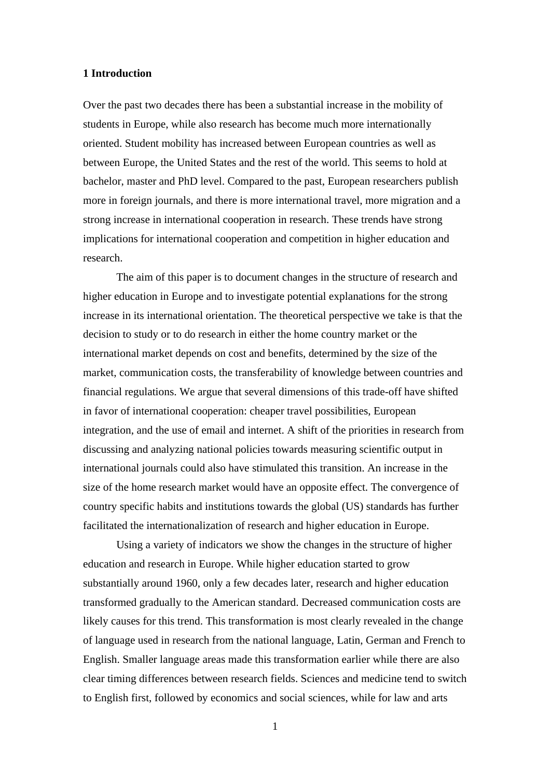#### **1 Introduction**

Over the past two decades there has been a substantial increase in the mobility of students in Europe, while also research has become much more internationally oriented. Student mobility has increased between European countries as well as between Europe, the United States and the rest of the world. This seems to hold at bachelor, master and PhD level. Compared to the past, European researchers publish more in foreign journals, and there is more international travel, more migration and a strong increase in international cooperation in research. These trends have strong implications for international cooperation and competition in higher education and research.

The aim of this paper is to document changes in the structure of research and higher education in Europe and to investigate potential explanations for the strong increase in its international orientation. The theoretical perspective we take is that the decision to study or to do research in either the home country market or the international market depends on cost and benefits, determined by the size of the market, communication costs, the transferability of knowledge between countries and financial regulations. We argue that several dimensions of this trade-off have shifted in favor of international cooperation: cheaper travel possibilities, European integration, and the use of email and internet. A shift of the priorities in research from discussing and analyzing national policies towards measuring scientific output in international journals could also have stimulated this transition. An increase in the size of the home research market would have an opposite effect. The convergence of country specific habits and institutions towards the global (US) standards has further facilitated the internationalization of research and higher education in Europe.

Using a variety of indicators we show the changes in the structure of higher education and research in Europe. While higher education started to grow substantially around 1960, only a few decades later, research and higher education transformed gradually to the American standard. Decreased communication costs are likely causes for this trend. This transformation is most clearly revealed in the change of language used in research from the national language, Latin, German and French to English. Smaller language areas made this transformation earlier while there are also clear timing differences between research fields. Sciences and medicine tend to switch to English first, followed by economics and social sciences, while for law and arts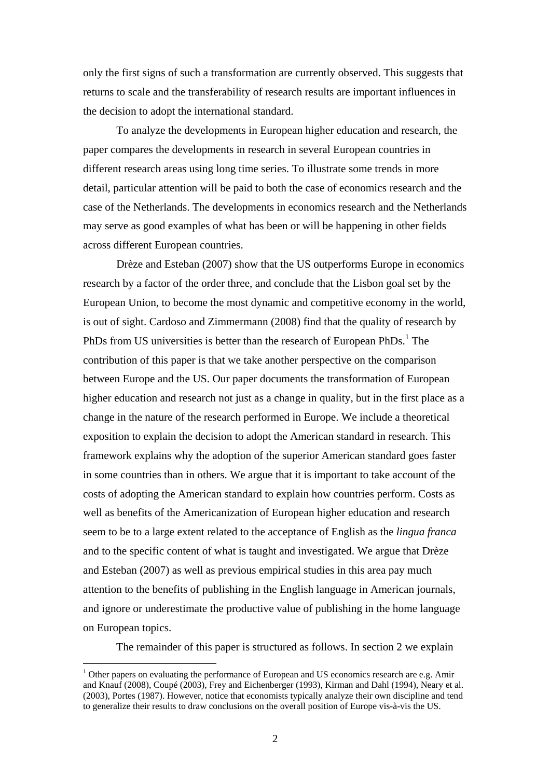only the first signs of such a transformation are currently observed. This suggests that returns to scale and the transferability of research results are important influences in the decision to adopt the international standard.

To analyze the developments in European higher education and research, the paper compares the developments in research in several European countries in different research areas using long time series. To illustrate some trends in more detail, particular attention will be paid to both the case of economics research and the case of the Netherlands. The developments in economics research and the Netherlands may serve as good examples of what has been or will be happening in other fields across different European countries.

Drèze and Esteban (2007) show that the US outperforms Europe in economics research by a factor of the order three, and conclude that the Lisbon goal set by the European Union, to become the most dynamic and competitive economy in the world, is out of sight. Cardoso and Zimmermann (2008) find that the quality of research by PhDs from US universities is better than the research of European PhDs.<sup>1</sup> The contribution of this paper is that we take another perspective on the comparison between Europe and the US. Our paper documents the transformation of European higher education and research not just as a change in quality, but in the first place as a change in the nature of the research performed in Europe. We include a theoretical exposition to explain the decision to adopt the American standard in research. This framework explains why the adoption of the superior American standard goes faster in some countries than in others. We argue that it is important to take account of the costs of adopting the American standard to explain how countries perform. Costs as well as benefits of the Americanization of European higher education and research seem to be to a large extent related to the acceptance of English as the *lingua franca*  and to the specific content of what is taught and investigated. We argue that Drèze and Esteban (2007) as well as previous empirical studies in this area pay much attention to the benefits of publishing in the English language in American journals, and ignore or underestimate the productive value of publishing in the home language on European topics.

The remainder of this paper is structured as follows. In section 2 we explain

 $\overline{a}$ 

 $1$  Other papers on evaluating the performance of European and US economics research are e.g. Amir and Knauf (2008), Coupé (2003), Frey and Eichenberger (1993), Kirman and Dahl (1994), Neary et al. (2003), Portes (1987). However, notice that economists typically analyze their own discipline and tend to generalize their results to draw conclusions on the overall position of Europe vis-à-vis the US.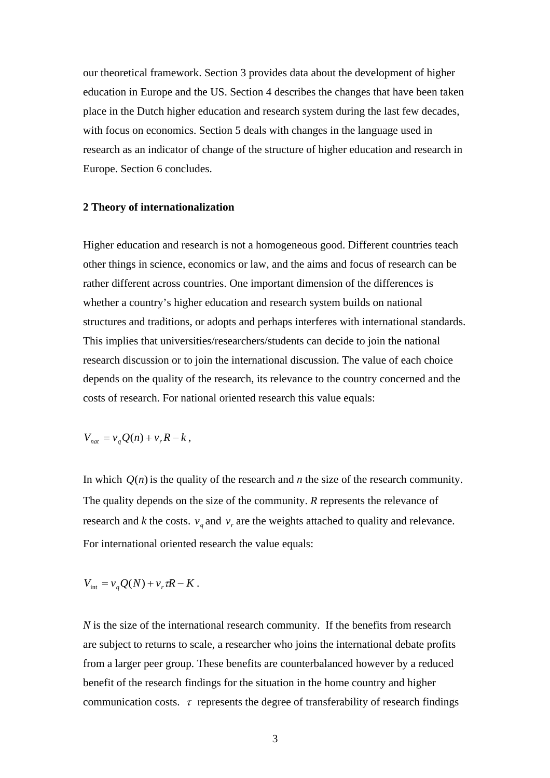our theoretical framework. Section 3 provides data about the development of higher education in Europe and the US. Section 4 describes the changes that have been taken place in the Dutch higher education and research system during the last few decades, with focus on economics. Section 5 deals with changes in the language used in research as an indicator of change of the structure of higher education and research in Europe. Section 6 concludes.

#### **2 Theory of internationalization**

Higher education and research is not a homogeneous good. Different countries teach other things in science, economics or law, and the aims and focus of research can be rather different across countries. One important dimension of the differences is whether a country's higher education and research system builds on national structures and traditions, or adopts and perhaps interferes with international standards. This implies that universities/researchers/students can decide to join the national research discussion or to join the international discussion. The value of each choice depends on the quality of the research, its relevance to the country concerned and the costs of research. For national oriented research this value equals:

$$
V_{nat} = v_q Q(n) + v_r R - k,
$$

In which  $Q(n)$  is the quality of the research and *n* the size of the research community. The quality depends on the size of the community. *R* represents the relevance of research and *k* the costs.  $v_q$  and  $v_r$  are the weights attached to quality and relevance. For international oriented research the value equals:

$$
V_{\text{int}} = v_q Q(N) + v_r \tau R - K.
$$

*N* is the size of the international research community. If the benefits from research are subject to returns to scale, a researcher who joins the international debate profits from a larger peer group. These benefits are counterbalanced however by a reduced benefit of the research findings for the situation in the home country and higher communication costs.  $\tau$  represents the degree of transferability of research findings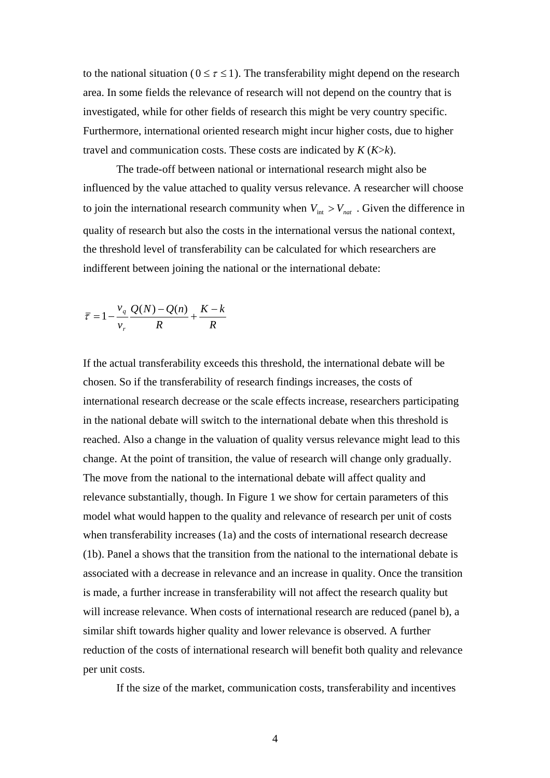to the national situation ( $0 \le \tau \le 1$ ). The transferability might depend on the research area. In some fields the relevance of research will not depend on the country that is investigated, while for other fields of research this might be very country specific. Furthermore, international oriented research might incur higher costs, due to higher travel and communication costs. These costs are indicated by *K* (*K*>*k*).

 The trade-off between national or international research might also be influenced by the value attached to quality versus relevance. A researcher will choose to join the international research community when  $V_{int} > V_{nat}$ . Given the difference in quality of research but also the costs in the international versus the national context, the threshold level of transferability can be calculated for which researchers are indifferent between joining the national or the international debate:

$$
\overline{\tau} = 1 - \frac{v_q}{v_r} \frac{Q(N) - Q(n)}{R} + \frac{K - k}{R}
$$

If the actual transferability exceeds this threshold, the international debate will be chosen. So if the transferability of research findings increases, the costs of international research decrease or the scale effects increase, researchers participating in the national debate will switch to the international debate when this threshold is reached. Also a change in the valuation of quality versus relevance might lead to this change. At the point of transition, the value of research will change only gradually. The move from the national to the international debate will affect quality and relevance substantially, though. In Figure 1 we show for certain parameters of this model what would happen to the quality and relevance of research per unit of costs when transferability increases (1a) and the costs of international research decrease (1b). Panel a shows that the transition from the national to the international debate is associated with a decrease in relevance and an increase in quality. Once the transition is made, a further increase in transferability will not affect the research quality but will increase relevance. When costs of international research are reduced (panel b), a similar shift towards higher quality and lower relevance is observed. A further reduction of the costs of international research will benefit both quality and relevance per unit costs.

If the size of the market, communication costs, transferability and incentives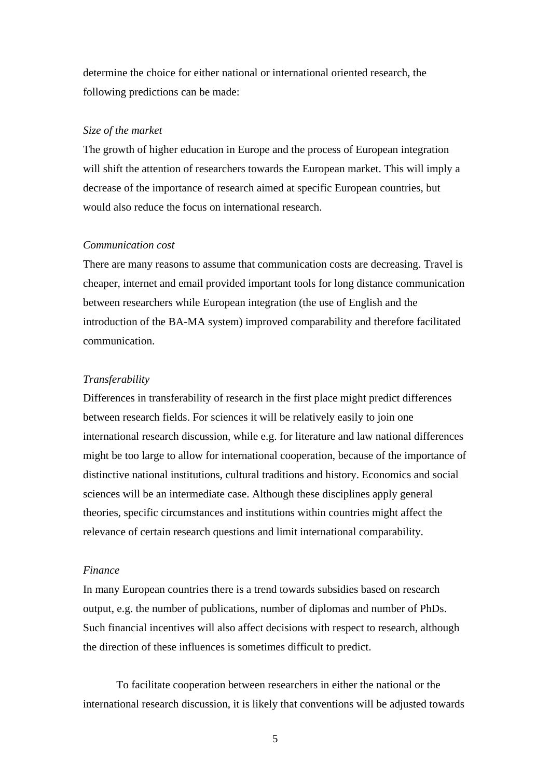determine the choice for either national or international oriented research, the following predictions can be made:

#### *Size of the market*

The growth of higher education in Europe and the process of European integration will shift the attention of researchers towards the European market. This will imply a decrease of the importance of research aimed at specific European countries, but would also reduce the focus on international research.

#### *Communication cost*

There are many reasons to assume that communication costs are decreasing. Travel is cheaper, internet and email provided important tools for long distance communication between researchers while European integration (the use of English and the introduction of the BA-MA system) improved comparability and therefore facilitated communication.

#### *Transferability*

Differences in transferability of research in the first place might predict differences between research fields. For sciences it will be relatively easily to join one international research discussion, while e.g. for literature and law national differences might be too large to allow for international cooperation, because of the importance of distinctive national institutions, cultural traditions and history. Economics and social sciences will be an intermediate case. Although these disciplines apply general theories, specific circumstances and institutions within countries might affect the relevance of certain research questions and limit international comparability.

### *Finance*

In many European countries there is a trend towards subsidies based on research output, e.g. the number of publications, number of diplomas and number of PhDs. Such financial incentives will also affect decisions with respect to research, although the direction of these influences is sometimes difficult to predict.

To facilitate cooperation between researchers in either the national or the international research discussion, it is likely that conventions will be adjusted towards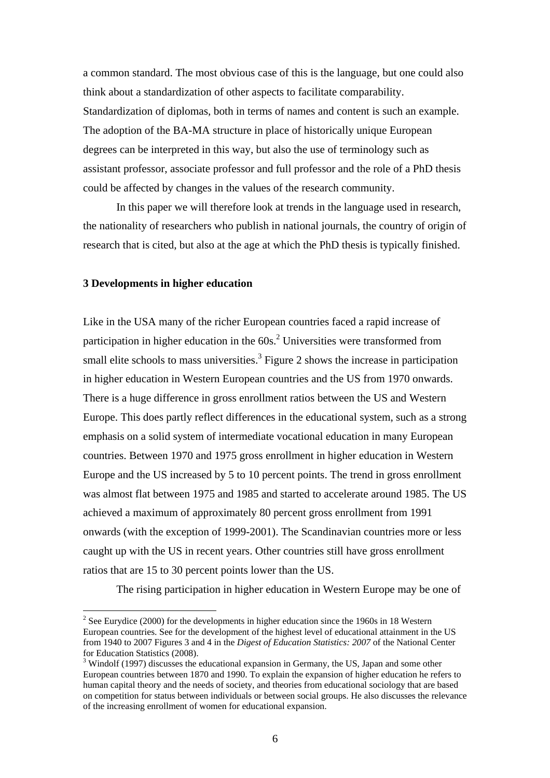a common standard. The most obvious case of this is the language, but one could also think about a standardization of other aspects to facilitate comparability. Standardization of diplomas, both in terms of names and content is such an example. The adoption of the BA-MA structure in place of historically unique European degrees can be interpreted in this way, but also the use of terminology such as assistant professor, associate professor and full professor and the role of a PhD thesis could be affected by changes in the values of the research community.

In this paper we will therefore look at trends in the language used in research, the nationality of researchers who publish in national journals, the country of origin of research that is cited, but also at the age at which the PhD thesis is typically finished.

#### **3 Developments in higher education**

 $\overline{a}$ 

Like in the USA many of the richer European countries faced a rapid increase of participation in higher education in the  $60s<sup>2</sup>$  Universities were transformed from small elite schools to mass universities.<sup>3</sup> Figure 2 shows the increase in participation in higher education in Western European countries and the US from 1970 onwards. There is a huge difference in gross enrollment ratios between the US and Western Europe. This does partly reflect differences in the educational system, such as a strong emphasis on a solid system of intermediate vocational education in many European countries. Between 1970 and 1975 gross enrollment in higher education in Western Europe and the US increased by 5 to 10 percent points. The trend in gross enrollment was almost flat between 1975 and 1985 and started to accelerate around 1985. The US achieved a maximum of approximately 80 percent gross enrollment from 1991 onwards (with the exception of 1999-2001). The Scandinavian countries more or less caught up with the US in recent years. Other countries still have gross enrollment ratios that are 15 to 30 percent points lower than the US.

The rising participation in higher education in Western Europe may be one of

<sup>&</sup>lt;sup>2</sup> See Eurydice (2000) for the developments in higher education since the 1960s in 18 Western European countries. See for the development of the highest level of educational attainment in the US from 1940 to 2007 Figures 3 and 4 in the *Digest of Education Statistics: 2007* of the National Center for Education Statistics (2008).

 $3$  Windolf (1997) discusses the educational expansion in Germany, the US, Japan and some other European countries between 1870 and 1990. To explain the expansion of higher education he refers to human capital theory and the needs of society, and theories from educational sociology that are based on competition for status between individuals or between social groups. He also discusses the relevance of the increasing enrollment of women for educational expansion.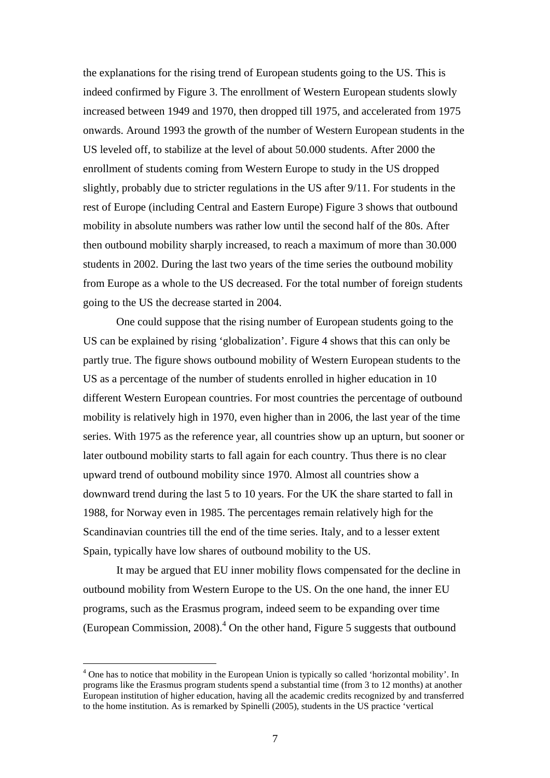the explanations for the rising trend of European students going to the US. This is indeed confirmed by Figure 3. The enrollment of Western European students slowly increased between 1949 and 1970, then dropped till 1975, and accelerated from 1975 onwards. Around 1993 the growth of the number of Western European students in the US leveled off, to stabilize at the level of about 50.000 students. After 2000 the enrollment of students coming from Western Europe to study in the US dropped slightly, probably due to stricter regulations in the US after 9/11. For students in the rest of Europe (including Central and Eastern Europe) Figure 3 shows that outbound mobility in absolute numbers was rather low until the second half of the 80s. After then outbound mobility sharply increased, to reach a maximum of more than 30.000 students in 2002. During the last two years of the time series the outbound mobility from Europe as a whole to the US decreased. For the total number of foreign students going to the US the decrease started in 2004.

 One could suppose that the rising number of European students going to the US can be explained by rising 'globalization'. Figure 4 shows that this can only be partly true. The figure shows outbound mobility of Western European students to the US as a percentage of the number of students enrolled in higher education in 10 different Western European countries. For most countries the percentage of outbound mobility is relatively high in 1970, even higher than in 2006, the last year of the time series. With 1975 as the reference year, all countries show up an upturn, but sooner or later outbound mobility starts to fall again for each country. Thus there is no clear upward trend of outbound mobility since 1970. Almost all countries show a downward trend during the last 5 to 10 years. For the UK the share started to fall in 1988, for Norway even in 1985. The percentages remain relatively high for the Scandinavian countries till the end of the time series. Italy, and to a lesser extent Spain, typically have low shares of outbound mobility to the US.

 It may be argued that EU inner mobility flows compensated for the decline in outbound mobility from Western Europe to the US. On the one hand, the inner EU programs, such as the Erasmus program, indeed seem to be expanding over time (European Commission,  $2008$ ).<sup>4</sup> On the other hand, Figure 5 suggests that outbound

 $\overline{a}$ 

<sup>&</sup>lt;sup>4</sup> One has to notice that mobility in the European Union is typically so called 'horizontal mobility'. In programs like the Erasmus program students spend a substantial time (from 3 to 12 months) at another European institution of higher education, having all the academic credits recognized by and transferred to the home institution. As is remarked by Spinelli (2005), students in the US practice 'vertical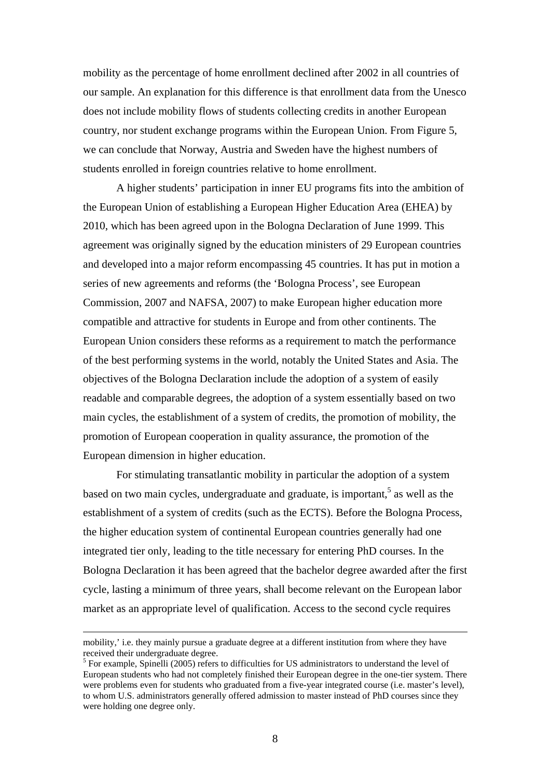mobility as the percentage of home enrollment declined after 2002 in all countries of our sample. An explanation for this difference is that enrollment data from the Unesco does not include mobility flows of students collecting credits in another European country, nor student exchange programs within the European Union. From Figure 5, we can conclude that Norway, Austria and Sweden have the highest numbers of students enrolled in foreign countries relative to home enrollment.

 A higher students' participation in inner EU programs fits into the ambition of the European Union of establishing a European Higher Education Area (EHEA) by 2010, which has been agreed upon in the Bologna Declaration of June 1999. This agreement was originally signed by the education ministers of 29 European countries and developed into a major reform encompassing 45 countries. It has put in motion a series of new agreements and reforms (the 'Bologna Process', see European Commission, 2007 and NAFSA, 2007) to make European higher education more compatible and attractive for students in Europe and from other continents. The European Union considers these reforms as a requirement to match the performance of the best performing systems in the world, notably the United States and Asia. The objectives of the Bologna Declaration include the adoption of a system of easily readable and comparable degrees, the adoption of a system essentially based on two main cycles, the establishment of a system of credits, the promotion of mobility, the promotion of European cooperation in quality assurance, the promotion of the European dimension in higher education.

 For stimulating transatlantic mobility in particular the adoption of a system based on two main cycles, undergraduate and graduate, is important,<sup>5</sup> as well as the establishment of a system of credits (such as the ECTS). Before the Bologna Process, the higher education system of continental European countries generally had one integrated tier only, leading to the title necessary for entering PhD courses. In the Bologna Declaration it has been agreed that the bachelor degree awarded after the first cycle, lasting a minimum of three years, shall become relevant on the European labor market as an appropriate level of qualification. Access to the second cycle requires

mobility,' i.e. they mainly pursue a graduate degree at a different institution from where they have received their undergraduate degree.

<sup>&</sup>lt;sup>5</sup> For example, Spinelli (2005) refers to difficulties for US administrators to understand the level of European students who had not completely finished their European degree in the one-tier system. There were problems even for students who graduated from a five-year integrated course (i.e. master's level), to whom U.S. administrators generally offered admission to master instead of PhD courses since they were holding one degree only.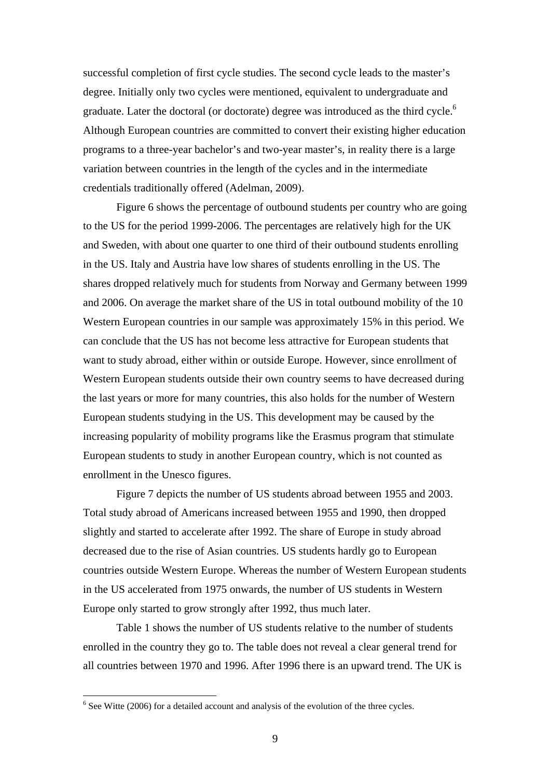successful completion of first cycle studies. The second cycle leads to the master's degree. Initially only two cycles were mentioned, equivalent to undergraduate and graduate. Later the doctoral (or doctorate) degree was introduced as the third cycle.<sup>6</sup> Although European countries are committed to convert their existing higher education programs to a three-year bachelor's and two-year master's, in reality there is a large variation between countries in the length of the cycles and in the intermediate credentials traditionally offered (Adelman, 2009).

 Figure 6 shows the percentage of outbound students per country who are going to the US for the period 1999-2006. The percentages are relatively high for the UK and Sweden, with about one quarter to one third of their outbound students enrolling in the US. Italy and Austria have low shares of students enrolling in the US. The shares dropped relatively much for students from Norway and Germany between 1999 and 2006. On average the market share of the US in total outbound mobility of the 10 Western European countries in our sample was approximately 15% in this period. We can conclude that the US has not become less attractive for European students that want to study abroad, either within or outside Europe. However, since enrollment of Western European students outside their own country seems to have decreased during the last years or more for many countries, this also holds for the number of Western European students studying in the US. This development may be caused by the increasing popularity of mobility programs like the Erasmus program that stimulate European students to study in another European country, which is not counted as enrollment in the Unesco figures.

 Figure 7 depicts the number of US students abroad between 1955 and 2003. Total study abroad of Americans increased between 1955 and 1990, then dropped slightly and started to accelerate after 1992. The share of Europe in study abroad decreased due to the rise of Asian countries. US students hardly go to European countries outside Western Europe. Whereas the number of Western European students in the US accelerated from 1975 onwards, the number of US students in Western Europe only started to grow strongly after 1992, thus much later.

 Table 1 shows the number of US students relative to the number of students enrolled in the country they go to. The table does not reveal a clear general trend for all countries between 1970 and 1996. After 1996 there is an upward trend. The UK is

<sup>&</sup>lt;sup>6</sup> See Witte (2006) for a detailed account and analysis of the evolution of the three cycles.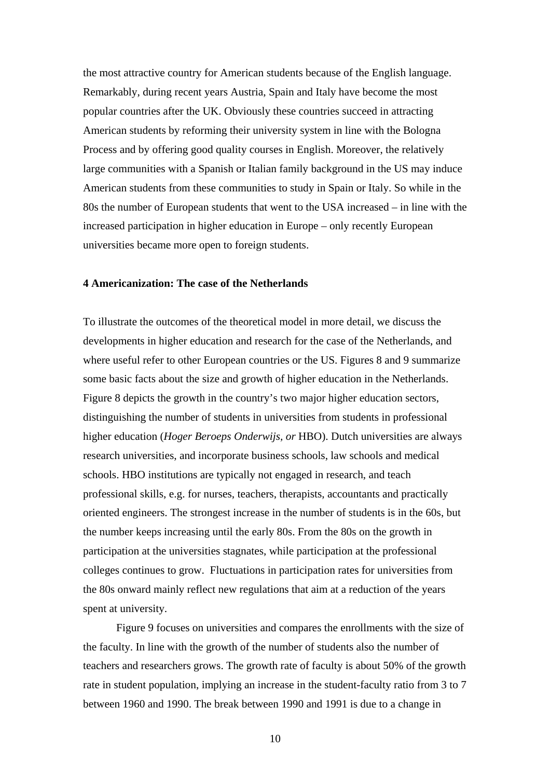the most attractive country for American students because of the English language. Remarkably, during recent years Austria, Spain and Italy have become the most popular countries after the UK. Obviously these countries succeed in attracting American students by reforming their university system in line with the Bologna Process and by offering good quality courses in English. Moreover, the relatively large communities with a Spanish or Italian family background in the US may induce American students from these communities to study in Spain or Italy. So while in the 80s the number of European students that went to the USA increased – in line with the increased participation in higher education in Europe – only recently European universities became more open to foreign students.

#### **4 Americanization: The case of the Netherlands**

To illustrate the outcomes of the theoretical model in more detail, we discuss the developments in higher education and research for the case of the Netherlands, and where useful refer to other European countries or the US. Figures 8 and 9 summarize some basic facts about the size and growth of higher education in the Netherlands. Figure 8 depicts the growth in the country's two major higher education sectors, distinguishing the number of students in universities from students in professional higher education (*Hoger Beroeps Onderwijs, or* HBO). Dutch universities are always research universities, and incorporate business schools, law schools and medical schools. HBO institutions are typically not engaged in research, and teach professional skills, e.g. for nurses, teachers, therapists, accountants and practically oriented engineers. The strongest increase in the number of students is in the 60s, but the number keeps increasing until the early 80s. From the 80s on the growth in participation at the universities stagnates, while participation at the professional colleges continues to grow. Fluctuations in participation rates for universities from the 80s onward mainly reflect new regulations that aim at a reduction of the years spent at university.

 Figure 9 focuses on universities and compares the enrollments with the size of the faculty. In line with the growth of the number of students also the number of teachers and researchers grows. The growth rate of faculty is about 50% of the growth rate in student population, implying an increase in the student-faculty ratio from 3 to 7 between 1960 and 1990. The break between 1990 and 1991 is due to a change in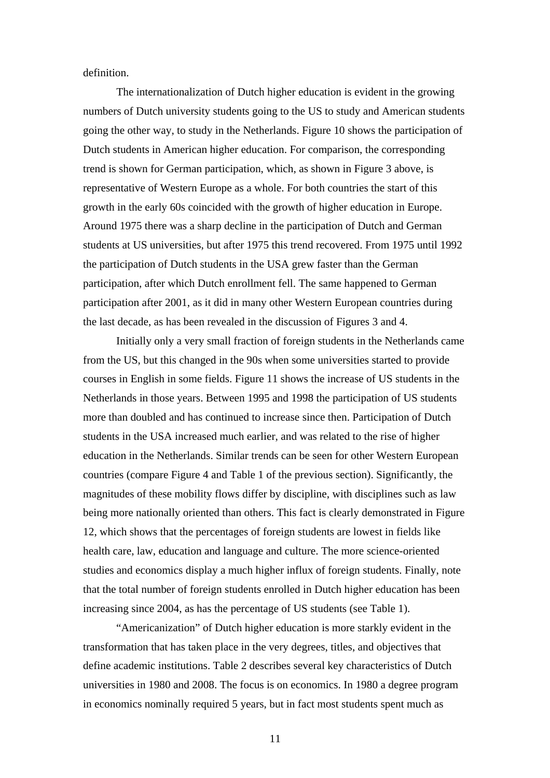definition.

 The internationalization of Dutch higher education is evident in the growing numbers of Dutch university students going to the US to study and American students going the other way, to study in the Netherlands. Figure 10 shows the participation of Dutch students in American higher education. For comparison, the corresponding trend is shown for German participation, which, as shown in Figure 3 above, is representative of Western Europe as a whole. For both countries the start of this growth in the early 60s coincided with the growth of higher education in Europe. Around 1975 there was a sharp decline in the participation of Dutch and German students at US universities, but after 1975 this trend recovered. From 1975 until 1992 the participation of Dutch students in the USA grew faster than the German participation, after which Dutch enrollment fell. The same happened to German participation after 2001, as it did in many other Western European countries during the last decade, as has been revealed in the discussion of Figures 3 and 4.

 Initially only a very small fraction of foreign students in the Netherlands came from the US, but this changed in the 90s when some universities started to provide courses in English in some fields. Figure 11 shows the increase of US students in the Netherlands in those years. Between 1995 and 1998 the participation of US students more than doubled and has continued to increase since then. Participation of Dutch students in the USA increased much earlier, and was related to the rise of higher education in the Netherlands. Similar trends can be seen for other Western European countries (compare Figure 4 and Table 1 of the previous section). Significantly, the magnitudes of these mobility flows differ by discipline, with disciplines such as law being more nationally oriented than others. This fact is clearly demonstrated in Figure 12, which shows that the percentages of foreign students are lowest in fields like health care, law, education and language and culture. The more science-oriented studies and economics display a much higher influx of foreign students. Finally, note that the total number of foreign students enrolled in Dutch higher education has been increasing since 2004, as has the percentage of US students (see Table 1).

 "Americanization" of Dutch higher education is more starkly evident in the transformation that has taken place in the very degrees, titles, and objectives that define academic institutions. Table 2 describes several key characteristics of Dutch universities in 1980 and 2008. The focus is on economics. In 1980 a degree program in economics nominally required 5 years, but in fact most students spent much as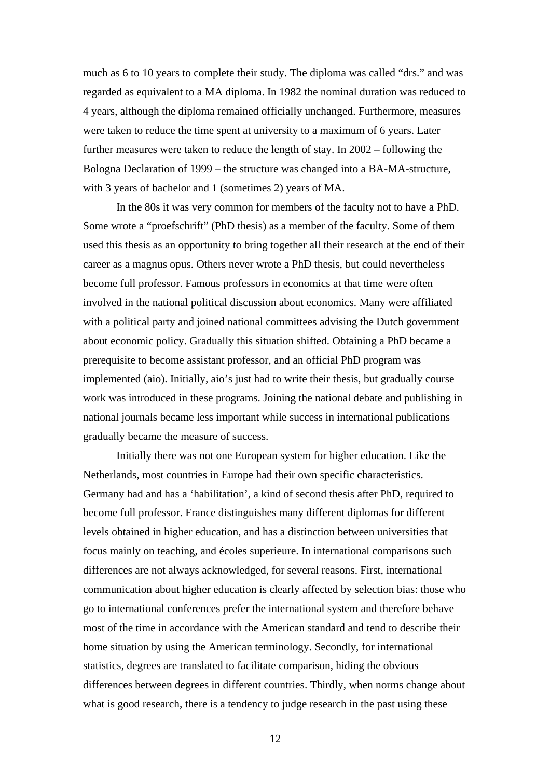much as 6 to 10 years to complete their study. The diploma was called "drs." and was regarded as equivalent to a MA diploma. In 1982 the nominal duration was reduced to 4 years, although the diploma remained officially unchanged. Furthermore, measures were taken to reduce the time spent at university to a maximum of 6 years. Later further measures were taken to reduce the length of stay. In 2002 – following the Bologna Declaration of 1999 – the structure was changed into a BA-MA-structure, with 3 years of bachelor and 1 (sometimes 2) years of MA.

 In the 80s it was very common for members of the faculty not to have a PhD. Some wrote a "proefschrift" (PhD thesis) as a member of the faculty. Some of them used this thesis as an opportunity to bring together all their research at the end of their career as a magnus opus. Others never wrote a PhD thesis, but could nevertheless become full professor. Famous professors in economics at that time were often involved in the national political discussion about economics. Many were affiliated with a political party and joined national committees advising the Dutch government about economic policy. Gradually this situation shifted. Obtaining a PhD became a prerequisite to become assistant professor, and an official PhD program was implemented (aio). Initially, aio's just had to write their thesis, but gradually course work was introduced in these programs. Joining the national debate and publishing in national journals became less important while success in international publications gradually became the measure of success.

 Initially there was not one European system for higher education. Like the Netherlands, most countries in Europe had their own specific characteristics. Germany had and has a 'habilitation', a kind of second thesis after PhD, required to become full professor. France distinguishes many different diplomas for different levels obtained in higher education, and has a distinction between universities that focus mainly on teaching, and écoles superieure. In international comparisons such differences are not always acknowledged, for several reasons. First, international communication about higher education is clearly affected by selection bias: those who go to international conferences prefer the international system and therefore behave most of the time in accordance with the American standard and tend to describe their home situation by using the American terminology. Secondly, for international statistics, degrees are translated to facilitate comparison, hiding the obvious differences between degrees in different countries. Thirdly, when norms change about what is good research, there is a tendency to judge research in the past using these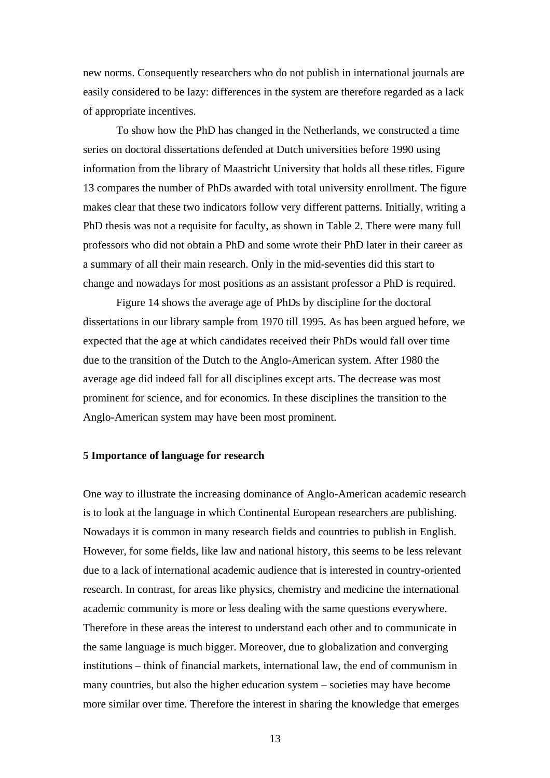new norms. Consequently researchers who do not publish in international journals are easily considered to be lazy: differences in the system are therefore regarded as a lack of appropriate incentives.

 To show how the PhD has changed in the Netherlands, we constructed a time series on doctoral dissertations defended at Dutch universities before 1990 using information from the library of Maastricht University that holds all these titles. Figure 13 compares the number of PhDs awarded with total university enrollment. The figure makes clear that these two indicators follow very different patterns. Initially, writing a PhD thesis was not a requisite for faculty, as shown in Table 2. There were many full professors who did not obtain a PhD and some wrote their PhD later in their career as a summary of all their main research. Only in the mid-seventies did this start to change and nowadays for most positions as an assistant professor a PhD is required.

Figure 14 shows the average age of PhDs by discipline for the doctoral dissertations in our library sample from 1970 till 1995. As has been argued before, we expected that the age at which candidates received their PhDs would fall over time due to the transition of the Dutch to the Anglo-American system. After 1980 the average age did indeed fall for all disciplines except arts. The decrease was most prominent for science, and for economics. In these disciplines the transition to the Anglo-American system may have been most prominent.

## **5 Importance of language for research**

One way to illustrate the increasing dominance of Anglo-American academic research is to look at the language in which Continental European researchers are publishing. Nowadays it is common in many research fields and countries to publish in English. However, for some fields, like law and national history, this seems to be less relevant due to a lack of international academic audience that is interested in country-oriented research. In contrast, for areas like physics, chemistry and medicine the international academic community is more or less dealing with the same questions everywhere. Therefore in these areas the interest to understand each other and to communicate in the same language is much bigger. Moreover, due to globalization and converging institutions – think of financial markets, international law, the end of communism in many countries, but also the higher education system – societies may have become more similar over time. Therefore the interest in sharing the knowledge that emerges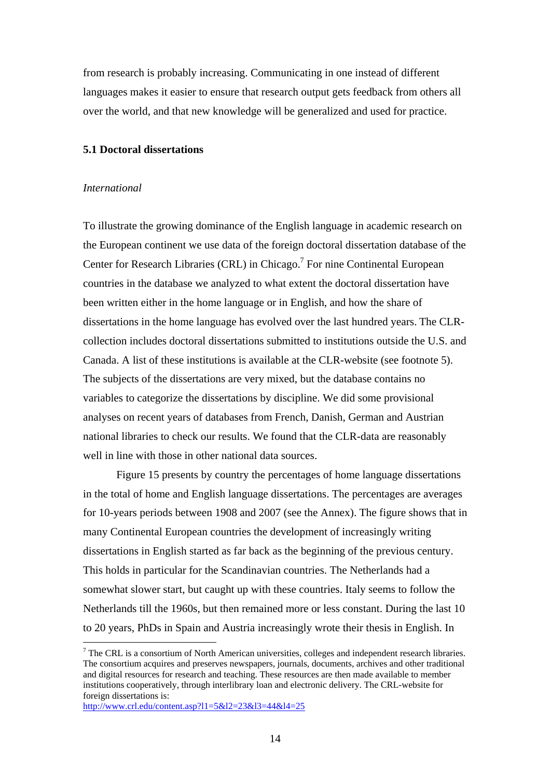from research is probably increasing. Communicating in one instead of different languages makes it easier to ensure that research output gets feedback from others all over the world, and that new knowledge will be generalized and used for practice.

#### **5.1 Doctoral dissertations**

#### *International*

 $\overline{a}$ 

To illustrate the growing dominance of the English language in academic research on the European continent we use data of the foreign doctoral dissertation database of the Center for Research Libraries (CRL) in Chicago.<sup>7</sup> For nine Continental European countries in the database we analyzed to what extent the doctoral dissertation have been written either in the home language or in English, and how the share of dissertations in the home language has evolved over the last hundred years. The CLRcollection includes doctoral dissertations submitted to institutions outside the U.S. and Canada. A list of these institutions is available at the CLR-website (see footnote 5). The subjects of the dissertations are very mixed, but the database contains no variables to categorize the dissertations by discipline. We did some provisional analyses on recent years of databases from French, Danish, German and Austrian national libraries to check our results. We found that the CLR-data are reasonably well in line with those in other national data sources.

Figure 15 presents by country the percentages of home language dissertations in the total of home and English language dissertations. The percentages are averages for 10-years periods between 1908 and 2007 (see the Annex). The figure shows that in many Continental European countries the development of increasingly writing dissertations in English started as far back as the beginning of the previous century. This holds in particular for the Scandinavian countries. The Netherlands had a somewhat slower start, but caught up with these countries. Italy seems to follow the Netherlands till the 1960s, but then remained more or less constant. During the last 10 to 20 years, PhDs in Spain and Austria increasingly wrote their thesis in English. In

 $<sup>7</sup>$  The CRL is a consortium of North American universities, colleges and independent research libraries.</sup> The consortium acquires and preserves newspapers, journals, documents, archives and other traditional and digital resources for research and teaching. These resources are then made available to member institutions cooperatively, through interlibrary loan and electronic delivery. The CRL-website for foreign dissertations is:

http://www.crl.edu/content.asp?l1=5&l2=23&l3=44&l4=25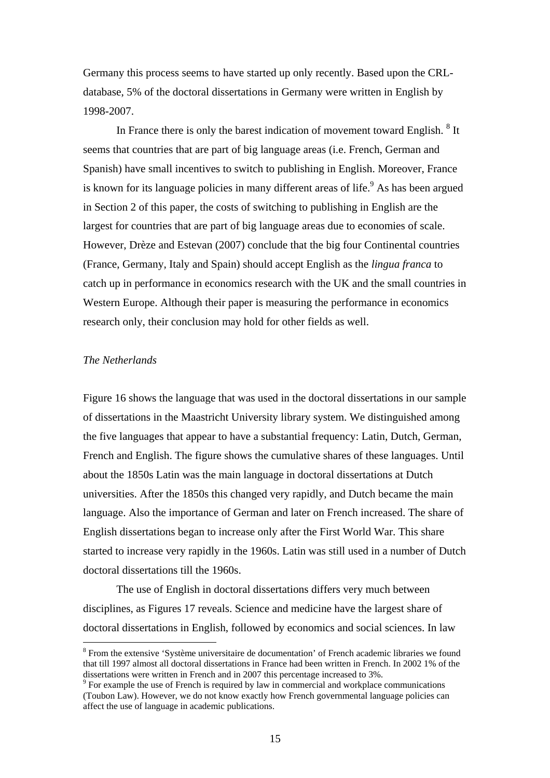Germany this process seems to have started up only recently. Based upon the CRLdatabase, 5% of the doctoral dissertations in Germany were written in English by 1998-2007.

In France there is only the barest indication of movement toward English.  $8$  It seems that countries that are part of big language areas (i.e. French, German and Spanish) have small incentives to switch to publishing in English. Moreover, France is known for its language policies in many different areas of life.<sup>9</sup> As has been argued in Section 2 of this paper, the costs of switching to publishing in English are the largest for countries that are part of big language areas due to economies of scale. However, Drèze and Estevan (2007) conclude that the big four Continental countries (France, Germany, Italy and Spain) should accept English as the *lingua franca* to catch up in performance in economics research with the UK and the small countries in Western Europe. Although their paper is measuring the performance in economics research only, their conclusion may hold for other fields as well.

#### *The Netherlands*

 $\overline{a}$ 

Figure 16 shows the language that was used in the doctoral dissertations in our sample of dissertations in the Maastricht University library system. We distinguished among the five languages that appear to have a substantial frequency: Latin, Dutch, German, French and English. The figure shows the cumulative shares of these languages. Until about the 1850s Latin was the main language in doctoral dissertations at Dutch universities. After the 1850s this changed very rapidly, and Dutch became the main language. Also the importance of German and later on French increased. The share of English dissertations began to increase only after the First World War. This share started to increase very rapidly in the 1960s. Latin was still used in a number of Dutch doctoral dissertations till the 1960s.

The use of English in doctoral dissertations differs very much between disciplines, as Figures 17 reveals. Science and medicine have the largest share of doctoral dissertations in English, followed by economics and social sciences. In law

<sup>&</sup>lt;sup>8</sup> From the extensive 'Système universitaire de documentation' of French academic libraries we found that till 1997 almost all doctoral dissertations in France had been written in French. In 2002 1% of the dissertations were written in French and in 2007 this percentage increased to  $3\%$ .

 $\degree$  For example the use of French is required by law in commercial and workplace communications (Toubon Law). However, we do not know exactly how French governmental language policies can affect the use of language in academic publications.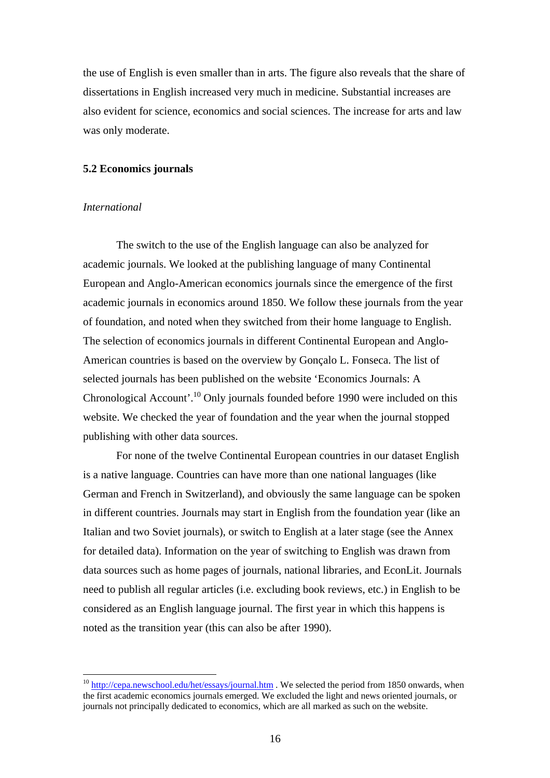the use of English is even smaller than in arts. The figure also reveals that the share of dissertations in English increased very much in medicine. Substantial increases are also evident for science, economics and social sciences. The increase for arts and law was only moderate.

#### **5.2 Economics journals**

#### *International*

 $\overline{a}$ 

 The switch to the use of the English language can also be analyzed for academic journals. We looked at the publishing language of many Continental European and Anglo-American economics journals since the emergence of the first academic journals in economics around 1850. We follow these journals from the year of foundation, and noted when they switched from their home language to English. The selection of economics journals in different Continental European and Anglo-American countries is based on the overview by Gonçalo L. Fonseca. The list of selected journals has been published on the website 'Economics Journals: A Chronological Account'.<sup>10</sup> Only journals founded before 1990 were included on this website. We checked the year of foundation and the year when the journal stopped publishing with other data sources.

For none of the twelve Continental European countries in our dataset English is a native language. Countries can have more than one national languages (like German and French in Switzerland), and obviously the same language can be spoken in different countries. Journals may start in English from the foundation year (like an Italian and two Soviet journals), or switch to English at a later stage (see the Annex for detailed data). Information on the year of switching to English was drawn from data sources such as home pages of journals, national libraries, and EconLit. Journals need to publish all regular articles (i.e. excluding book reviews, etc.) in English to be considered as an English language journal. The first year in which this happens is noted as the transition year (this can also be after 1990).

<sup>&</sup>lt;sup>10</sup> http://cepa.newschool.edu/het/essays/journal.htm . We selected the period from 1850 onwards, when the first academic economics journals emerged. We excluded the light and news oriented journals, or journals not principally dedicated to economics, which are all marked as such on the website.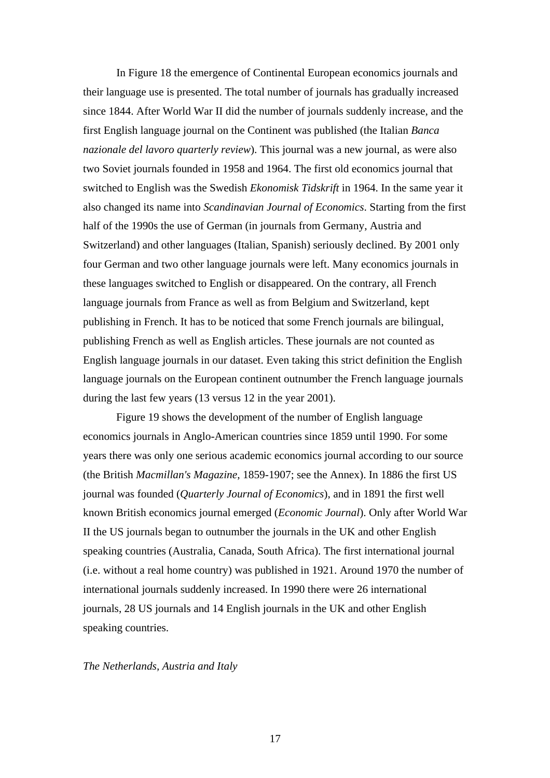In Figure 18 the emergence of Continental European economics journals and their language use is presented. The total number of journals has gradually increased since 1844. After World War II did the number of journals suddenly increase, and the first English language journal on the Continent was published (the Italian *Banca nazionale del lavoro quarterly review*). This journal was a new journal, as were also two Soviet journals founded in 1958 and 1964. The first old economics journal that switched to English was the Swedish *Ekonomisk Tidskrift* in 1964. In the same year it also changed its name into *Scandinavian Journal of Economics*. Starting from the first half of the 1990s the use of German (in journals from Germany, Austria and Switzerland) and other languages (Italian, Spanish) seriously declined. By 2001 only four German and two other language journals were left. Many economics journals in these languages switched to English or disappeared. On the contrary, all French language journals from France as well as from Belgium and Switzerland, kept publishing in French. It has to be noticed that some French journals are bilingual, publishing French as well as English articles. These journals are not counted as English language journals in our dataset. Even taking this strict definition the English language journals on the European continent outnumber the French language journals during the last few years (13 versus 12 in the year 2001).

Figure 19 shows the development of the number of English language economics journals in Anglo-American countries since 1859 until 1990. For some years there was only one serious academic economics journal according to our source (the British *Macmillan's Magazine*, 1859-1907; see the Annex). In 1886 the first US journal was founded (*Quarterly Journal of Economics*), and in 1891 the first well known British economics journal emerged (*Economic Journal*). Only after World War II the US journals began to outnumber the journals in the UK and other English speaking countries (Australia, Canada, South Africa). The first international journal (i.e. without a real home country) was published in 1921. Around 1970 the number of international journals suddenly increased. In 1990 there were 26 international journals, 28 US journals and 14 English journals in the UK and other English speaking countries.

#### *The Netherlands, Austria and Italy*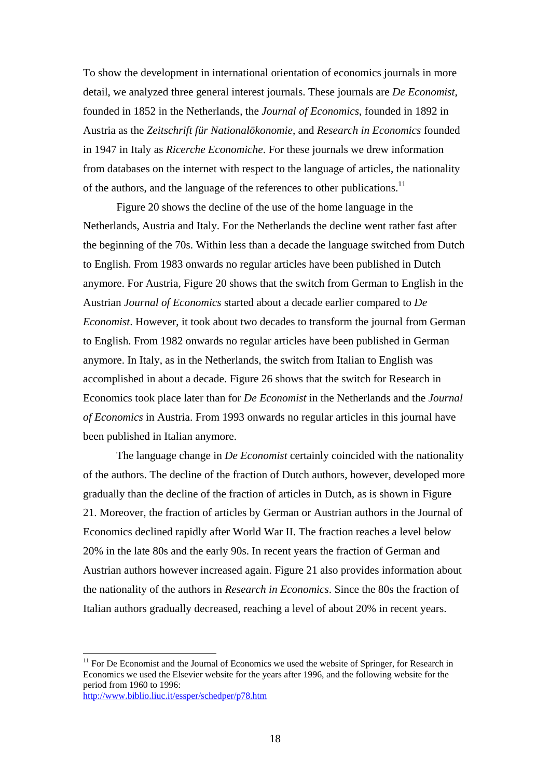To show the development in international orientation of economics journals in more detail, we analyzed three general interest journals. These journals are *De Economist*, founded in 1852 in the Netherlands, the *Journal of Economics*, founded in 1892 in Austria as the *Zeitschrift für Nationalökonomie*, and *Research in Economics* founded in 1947 in Italy as *Ricerche Economiche*. For these journals we drew information from databases on the internet with respect to the language of articles, the nationality of the authors, and the language of the references to other publications.<sup>11</sup>

Figure 20 shows the decline of the use of the home language in the Netherlands, Austria and Italy. For the Netherlands the decline went rather fast after the beginning of the 70s. Within less than a decade the language switched from Dutch to English. From 1983 onwards no regular articles have been published in Dutch anymore. For Austria, Figure 20 shows that the switch from German to English in the Austrian *Journal of Economics* started about a decade earlier compared to *De Economist*. However, it took about two decades to transform the journal from German to English. From 1982 onwards no regular articles have been published in German anymore. In Italy, as in the Netherlands, the switch from Italian to English was accomplished in about a decade. Figure 26 shows that the switch for Research in Economics took place later than for *De Economist* in the Netherlands and the *Journal of Economics* in Austria. From 1993 onwards no regular articles in this journal have been published in Italian anymore.

The language change in *De Economist* certainly coincided with the nationality of the authors. The decline of the fraction of Dutch authors, however, developed more gradually than the decline of the fraction of articles in Dutch, as is shown in Figure 21. Moreover, the fraction of articles by German or Austrian authors in the Journal of Economics declined rapidly after World War II. The fraction reaches a level below 20% in the late 80s and the early 90s. In recent years the fraction of German and Austrian authors however increased again. Figure 21 also provides information about the nationality of the authors in *Research in Economics*. Since the 80s the fraction of Italian authors gradually decreased, reaching a level of about 20% in recent years.

 $\overline{a}$ 

 $11$  For De Economist and the Journal of Economics we used the website of Springer, for Research in Economics we used the Elsevier website for the years after 1996, and the following website for the period from 1960 to 1996:

http://www.biblio.liuc.it/essper/schedper/p78.htm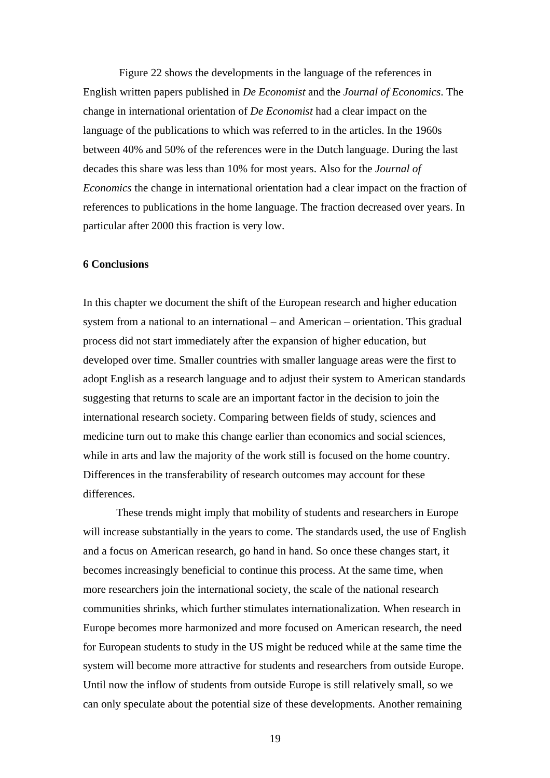Figure 22 shows the developments in the language of the references in English written papers published in *De Economist* and the *Journal of Economics*. The change in international orientation of *De Economist* had a clear impact on the language of the publications to which was referred to in the articles. In the 1960s between 40% and 50% of the references were in the Dutch language. During the last decades this share was less than 10% for most years. Also for the *Journal of Economics* the change in international orientation had a clear impact on the fraction of references to publications in the home language. The fraction decreased over years. In particular after 2000 this fraction is very low.

#### **6 Conclusions**

In this chapter we document the shift of the European research and higher education system from a national to an international – and American – orientation. This gradual process did not start immediately after the expansion of higher education, but developed over time. Smaller countries with smaller language areas were the first to adopt English as a research language and to adjust their system to American standards suggesting that returns to scale are an important factor in the decision to join the international research society. Comparing between fields of study, sciences and medicine turn out to make this change earlier than economics and social sciences, while in arts and law the majority of the work still is focused on the home country. Differences in the transferability of research outcomes may account for these differences.

 These trends might imply that mobility of students and researchers in Europe will increase substantially in the years to come. The standards used, the use of English and a focus on American research, go hand in hand. So once these changes start, it becomes increasingly beneficial to continue this process. At the same time, when more researchers join the international society, the scale of the national research communities shrinks, which further stimulates internationalization. When research in Europe becomes more harmonized and more focused on American research, the need for European students to study in the US might be reduced while at the same time the system will become more attractive for students and researchers from outside Europe. Until now the inflow of students from outside Europe is still relatively small, so we can only speculate about the potential size of these developments. Another remaining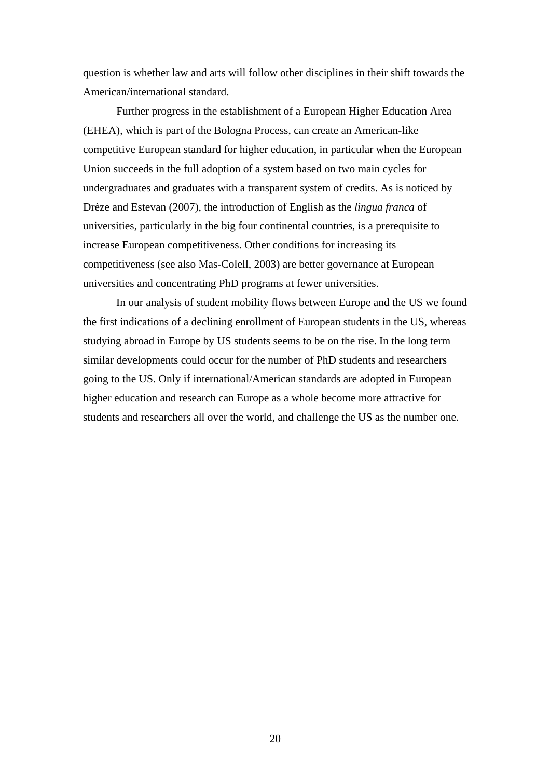question is whether law and arts will follow other disciplines in their shift towards the American/international standard.

 Further progress in the establishment of a European Higher Education Area (EHEA), which is part of the Bologna Process, can create an American-like competitive European standard for higher education, in particular when the European Union succeeds in the full adoption of a system based on two main cycles for undergraduates and graduates with a transparent system of credits. As is noticed by Drèze and Estevan (2007), the introduction of English as the *lingua franca* of universities, particularly in the big four continental countries, is a prerequisite to increase European competitiveness. Other conditions for increasing its competitiveness (see also Mas-Colell, 2003) are better governance at European universities and concentrating PhD programs at fewer universities.

 In our analysis of student mobility flows between Europe and the US we found the first indications of a declining enrollment of European students in the US, whereas studying abroad in Europe by US students seems to be on the rise. In the long term similar developments could occur for the number of PhD students and researchers going to the US. Only if international/American standards are adopted in European higher education and research can Europe as a whole become more attractive for students and researchers all over the world, and challenge the US as the number one.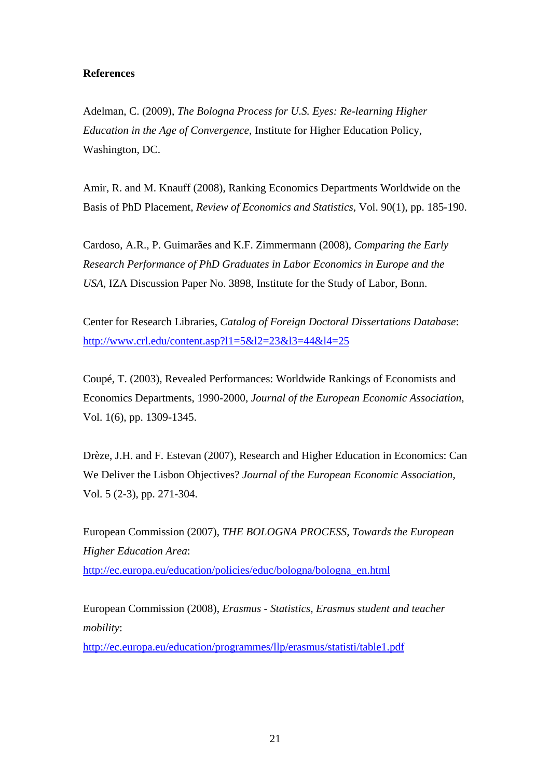## **References**

Adelman, C. (2009), *The Bologna Process for U.S. Eyes: Re-learning Higher Education in the Age of Convergence*, Institute for Higher Education Policy, Washington, DC.

Amir, R. and M. Knauff (2008), Ranking Economics Departments Worldwide on the Basis of PhD Placement, *Review of Economics and Statistics*, Vol. 90(1), pp. 185-190.

Cardoso, A.R., P. Guimarães and K.F. Zimmermann (2008), *Comparing the Early Research Performance of PhD Graduates in Labor Economics in Europe and the USA*, IZA Discussion Paper No. 3898, Institute for the Study of Labor, Bonn.

Center for Research Libraries, *Catalog of Foreign Doctoral Dissertations Database*: http://www.crl.edu/content.asp?l1=5&l2=23&l3=44&l4=25

Coupé, T. (2003), Revealed Performances: Worldwide Rankings of Economists and Economics Departments, 1990-2000, *Journal of the European Economic Association*, Vol. 1(6), pp. 1309-1345.

Drèze, J.H. and F. Estevan (2007), Research and Higher Education in Economics: Can We Deliver the Lisbon Objectives? *Journal of the European Economic Association*, Vol. 5 (2-3), pp. 271-304.

European Commission (2007), *THE BOLOGNA PROCESS, Towards the European Higher Education Area*: http://ec.europa.eu/education/policies/educ/bologna/bologna\_en.html

European Commission (2008), *Erasmus - Statistics, Erasmus student and teacher mobility*:

http://ec.europa.eu/education/programmes/llp/erasmus/statisti/table1.pdf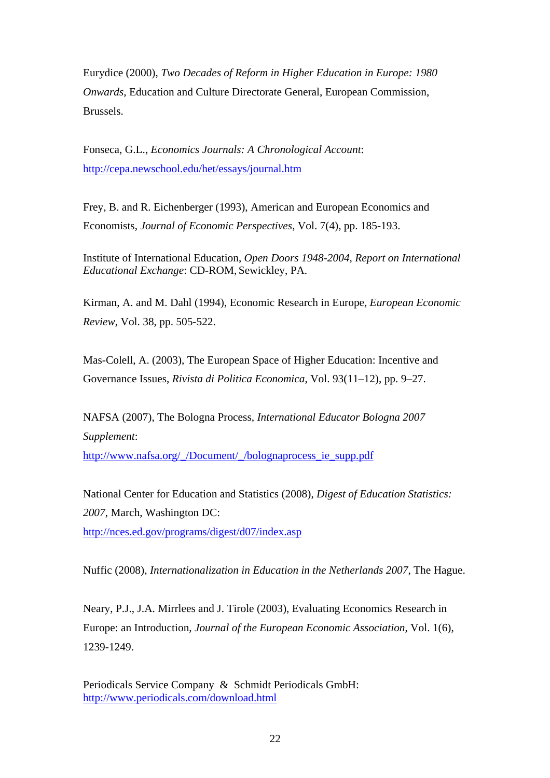Eurydice (2000), *Two Decades of Reform in Higher Education in Europe: 1980 Onwards*, Education and Culture Directorate General, European Commission, Brussels.

Fonseca, G.L., *Economics Journals: A Chronological Account*: http://cepa.newschool.edu/het/essays/journal.htm

Frey, B. and R. Eichenberger (1993), American and European Economics and Economists, *Journal of Economic Perspectives*, Vol. 7(4), pp. 185-193.

Institute of International Education, *Open Doors 1948-2004, Report on International Educational Exchange*: CD-ROM, Sewickley, PA.

Kirman, A. and M. Dahl (1994), Economic Research in Europe, *European Economic Review*, Vol. 38, pp. 505-522.

Mas-Colell, A. (2003), The European Space of Higher Education: Incentive and Governance Issues, *Rivista di Politica Economica*, Vol. 93(11–12), pp. 9–27.

NAFSA (2007), The Bologna Process, *International Educator Bologna 2007 Supplement*:

http://www.nafsa.org/\_/Document/\_/bolognaprocess\_ie\_supp.pdf

National Center for Education and Statistics (2008), *Digest of Education Statistics: 2007*, March, Washington DC:

http://nces.ed.gov/programs/digest/d07/index.asp

Nuffic (2008), *Internationalization in Education in the Netherlands 2007*, The Hague.

Neary, P.J., J.A. Mirrlees and J. Tirole (2003), Evaluating Economics Research in Europe: an Introduction, *Journal of the European Economic Association*, Vol. 1(6), 1239-1249.

Periodicals Service Company & Schmidt Periodicals GmbH: http://www.periodicals.com/download.html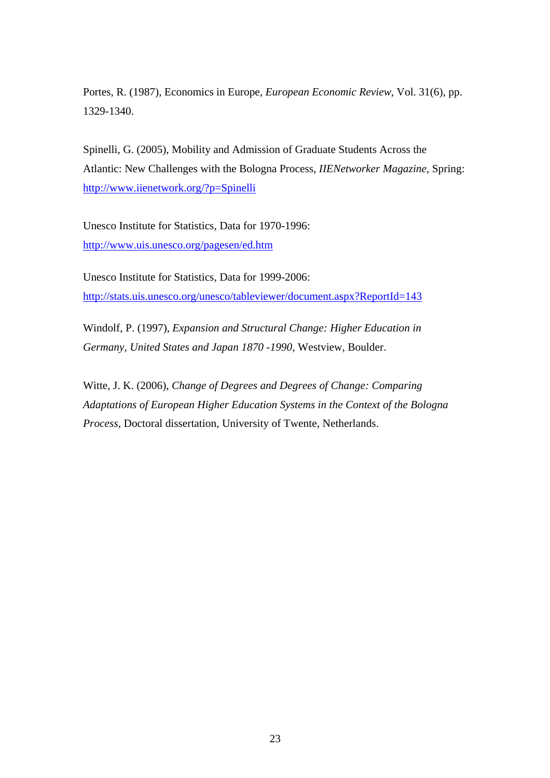Portes, R. (1987), Economics in Europe, *European Economic Review*, Vol. 31(6), pp. 1329-1340.

Spinelli, G. (2005), Mobility and Admission of Graduate Students Across the Atlantic: New Challenges with the Bologna Process, *IIENetworker Magazine*, Spring: http://www.iienetwork.org/?p=Spinelli

Unesco Institute for Statistics, Data for 1970-1996: http://www.uis.unesco.org/pagesen/ed.htm

Unesco Institute for Statistics, Data for 1999-2006: http://stats.uis.unesco.org/unesco/tableviewer/document.aspx?ReportId=143

Windolf, P. (1997), *Expansion and Structural Change: Higher Education in Germany, United States and Japan 1870 -1990*, Westview, Boulder.

Witte, J. K. (2006), *Change of Degrees and Degrees of Change: Comparing Adaptations of European Higher Education Systems in the Context of the Bologna Process*, Doctoral dissertation, University of Twente, Netherlands.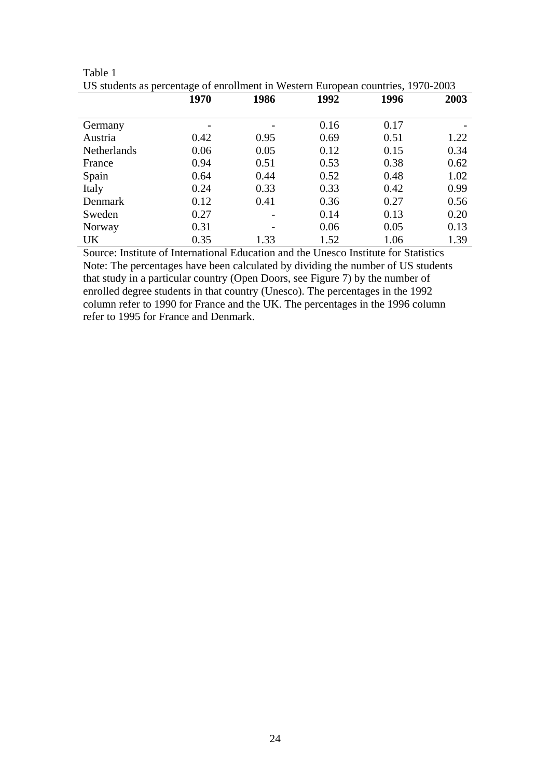| CD students as percentage of embilition in western European countries, 1770 2005 |      |      |      |      |      |
|----------------------------------------------------------------------------------|------|------|------|------|------|
|                                                                                  | 1970 | 1986 | 1992 | 1996 | 2003 |
|                                                                                  |      |      |      |      |      |
| Germany                                                                          |      |      | 0.16 | 0.17 |      |
| Austria                                                                          | 0.42 | 0.95 | 0.69 | 0.51 | 1.22 |
| Netherlands                                                                      | 0.06 | 0.05 | 0.12 | 0.15 | 0.34 |
| France                                                                           | 0.94 | 0.51 | 0.53 | 0.38 | 0.62 |
| Spain                                                                            | 0.64 | 0.44 | 0.52 | 0.48 | 1.02 |
| Italy                                                                            | 0.24 | 0.33 | 0.33 | 0.42 | 0.99 |
| Denmark                                                                          | 0.12 | 0.41 | 0.36 | 0.27 | 0.56 |
| Sweden                                                                           | 0.27 |      | 0.14 | 0.13 | 0.20 |
| Norway                                                                           | 0.31 |      | 0.06 | 0.05 | 0.13 |
| UK                                                                               | 0.35 | 1.33 | 1.52 | 1.06 | 1.39 |

Table 1 US students as percentage of enrollment in Western European countries, 1970-2003

Source: Institute of International Education and the Unesco Institute for Statistics Note: The percentages have been calculated by dividing the number of US students that study in a particular country (Open Doors, see Figure 7) by the number of enrolled degree students in that country (Unesco). The percentages in the 1992 column refer to 1990 for France and the UK. The percentages in the 1996 column refer to 1995 for France and Denmark.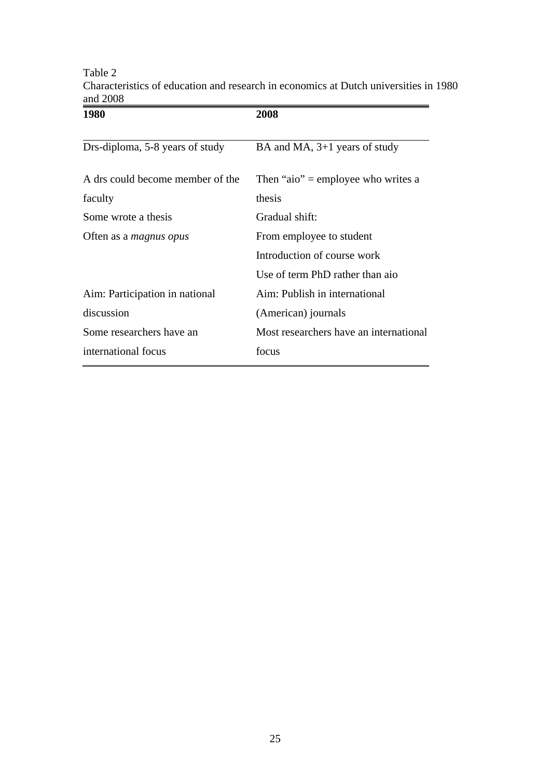| 1980                             | 2008                                   |
|----------------------------------|----------------------------------------|
| Drs-diploma, 5-8 years of study  | BA and MA, $3+1$ years of study        |
| A drs could become member of the | Then "aio" = employee who writes a     |
| faculty                          | thesis                                 |
| Some wrote a thesis              | Gradual shift:                         |
| Often as a <i>magnus opus</i>    | From employee to student               |
|                                  | Introduction of course work            |
|                                  | Use of term PhD rather than aio        |
| Aim: Participation in national   | Aim: Publish in international          |
| discussion                       | (American) journals                    |
| Some researchers have an         | Most researchers have an international |
| international focus              | focus                                  |

Table 2 Characteristics of education and research in economics at Dutch universities in 1980 and 2008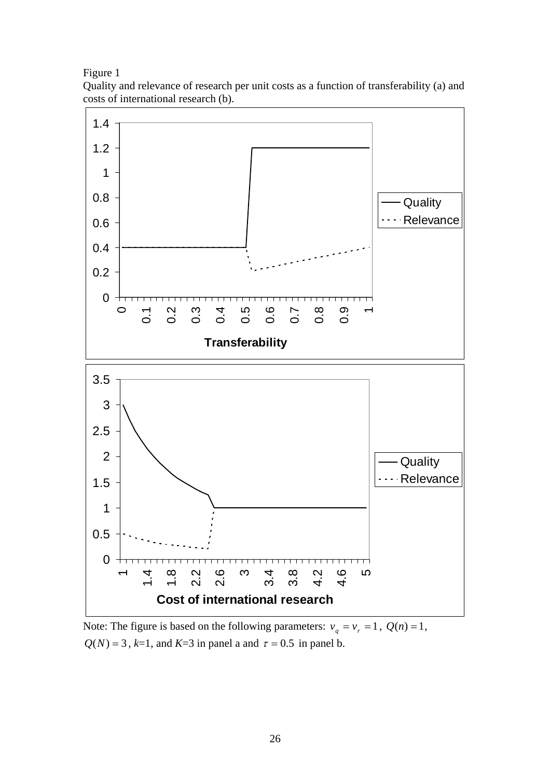Figure 1

Quality and relevance of research per unit costs as a function of transferability (a) and costs of international research (b).



Note: The figure is based on the following parameters:  $v_q = v_r = 1$ ,  $Q(n) = 1$ ,  $Q(N) = 3$ ,  $k=1$ , and  $K=3$  in panel a and  $\tau = 0.5$  in panel b.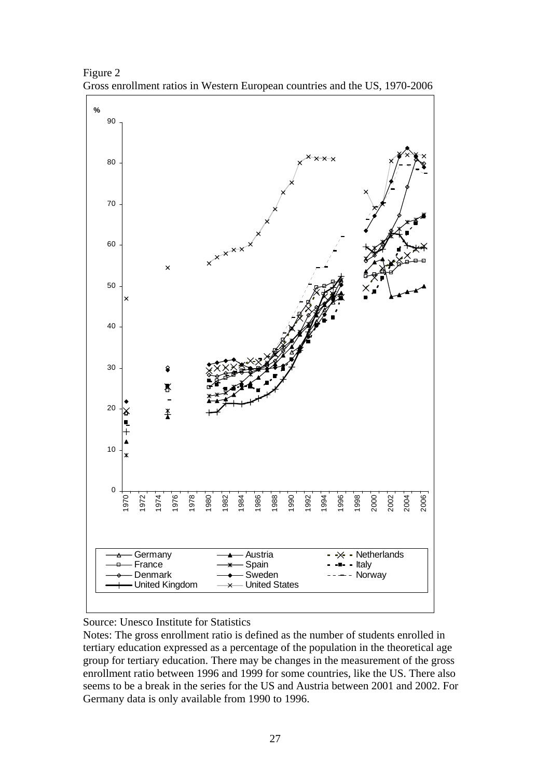

Figure 2 Gross enrollment ratios in Western European countries and the US, 1970-2006

### Source: Unesco Institute for Statistics

Notes: The gross enrollment ratio is defined as the number of students enrolled in tertiary education expressed as a percentage of the population in the theoretical age group for tertiary education. There may be changes in the measurement of the gross enrollment ratio between 1996 and 1999 for some countries, like the US. There also seems to be a break in the series for the US and Austria between 2001 and 2002. For Germany data is only available from 1990 to 1996.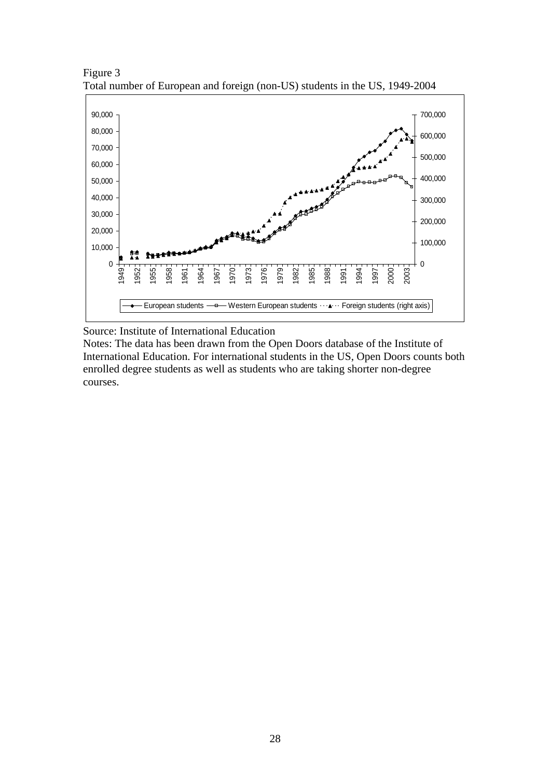

Figure 3 Total number of European and foreign (non-US) students in the US, 1949-2004

Source: Institute of International Education

Notes: The data has been drawn from the Open Doors database of the Institute of International Education. For international students in the US, Open Doors counts both enrolled degree students as well as students who are taking shorter non-degree courses.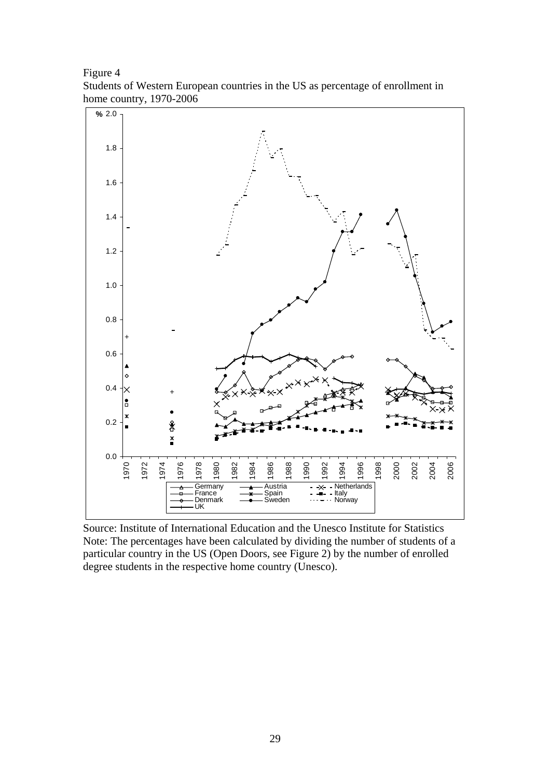

Figure 4 Students of Western European countries in the US as percentage of enrollment in home country, 1970-2006

Source: Institute of International Education and the Unesco Institute for Statistics Note: The percentages have been calculated by dividing the number of students of a particular country in the US (Open Doors, see Figure 2) by the number of enrolled degree students in the respective home country (Unesco).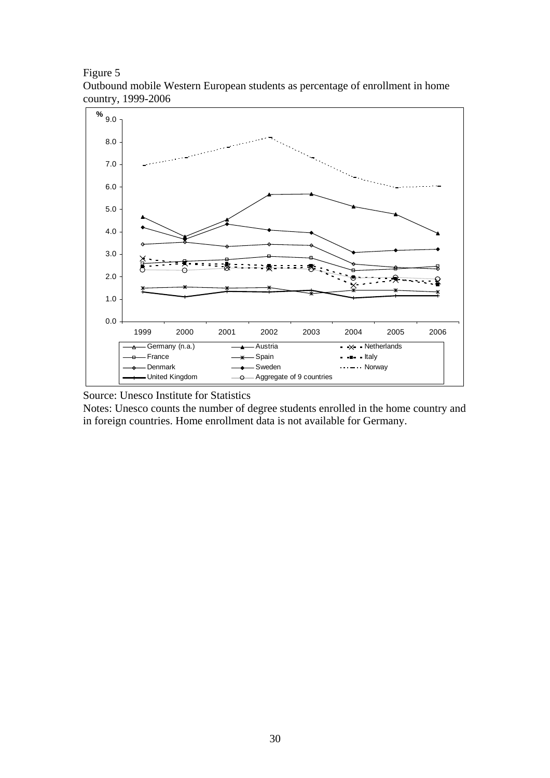Figure 5





Source: Unesco Institute for Statistics

Notes: Unesco counts the number of degree students enrolled in the home country and in foreign countries. Home enrollment data is not available for Germany.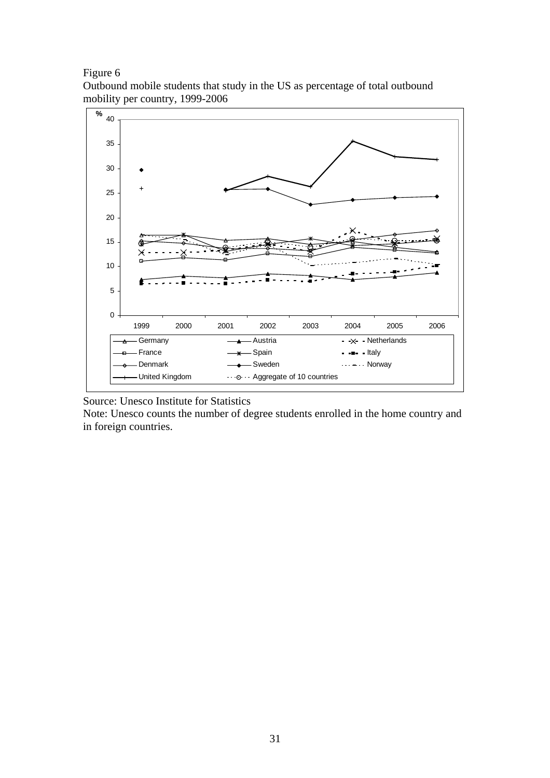## Figure 6





Source: Unesco Institute for Statistics

Note: Unesco counts the number of degree students enrolled in the home country and in foreign countries.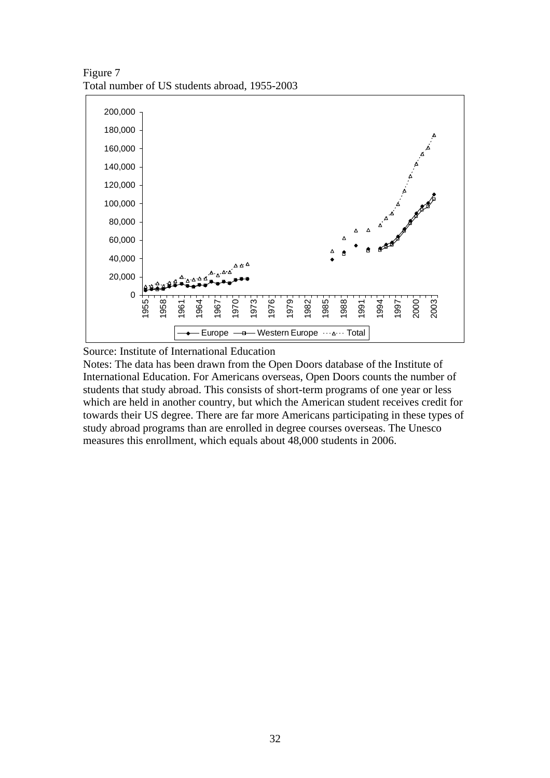Figure 7 Total number of US students abroad, 1955-2003



Source: Institute of International Education

Notes: The data has been drawn from the Open Doors database of the Institute of International Education. For Americans overseas, Open Doors counts the number of students that study abroad. This consists of short-term programs of one year or less which are held in another country, but which the American student receives credit for towards their US degree. There are far more Americans participating in these types of study abroad programs than are enrolled in degree courses overseas. The Unesco measures this enrollment, which equals about 48,000 students in 2006.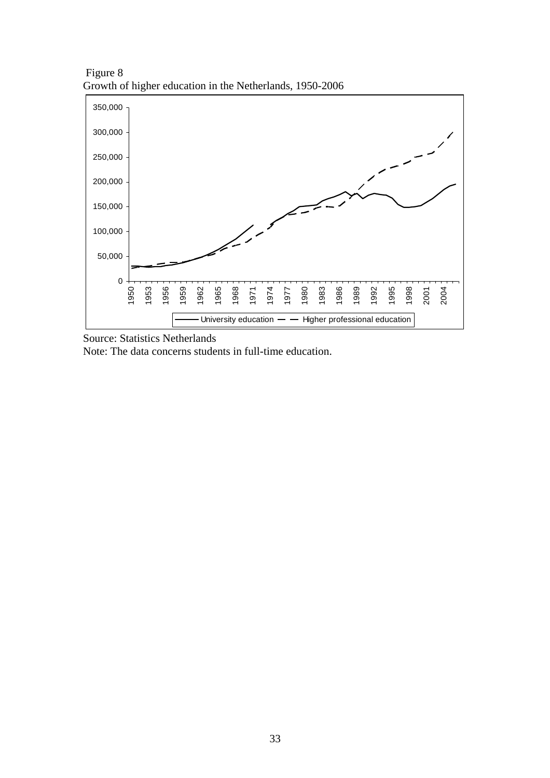Figure 8 Growth of higher education in the Netherlands, 1950-2006



Source: Statistics Netherlands

Note: The data concerns students in full-time education.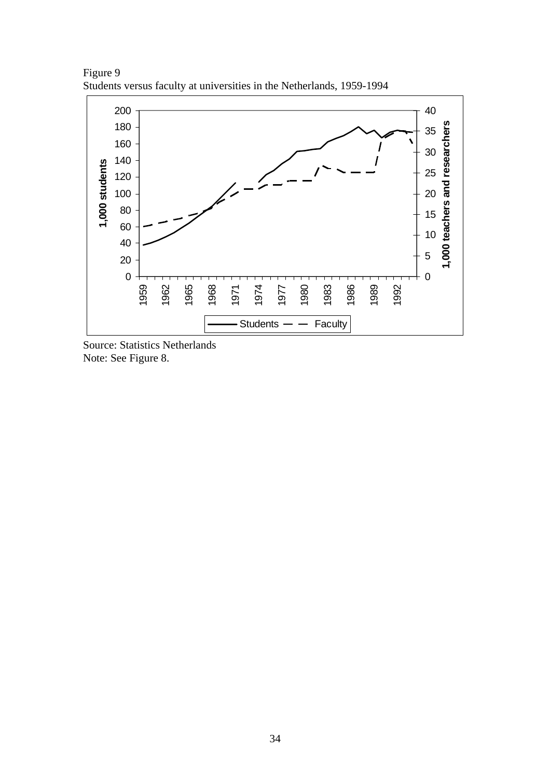

Figure 9 Students versus faculty at universities in the Netherlands, 1959-1994

Source: Statistics Netherlands Note: See Figure 8.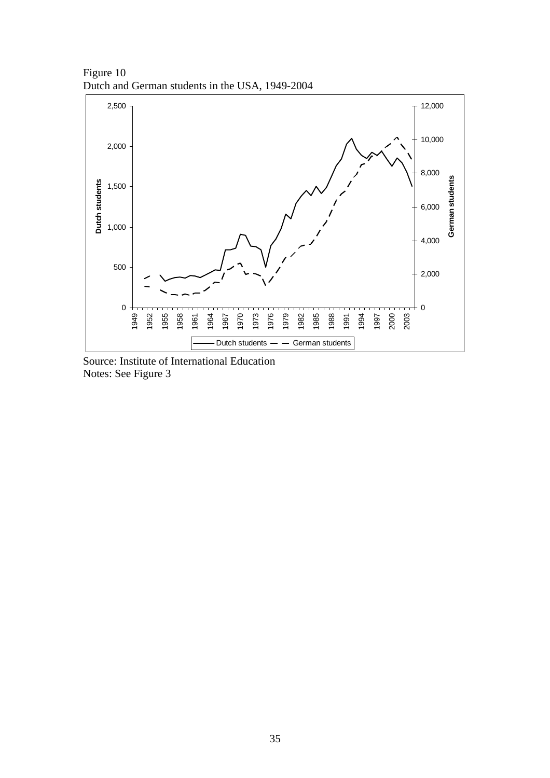Figure 10 Dutch and German students in the USA, 1949-2004



Source: Institute of International Education Notes: See Figure 3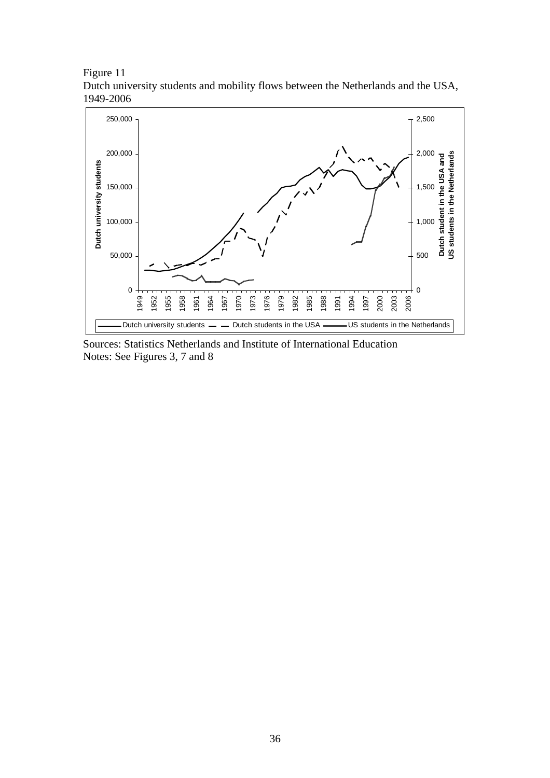Figure 11 Dutch university students and mobility flows between the Netherlands and the USA, 1949-2006



Sources: Statistics Netherlands and Institute of International Education Notes: See Figures 3, 7 and 8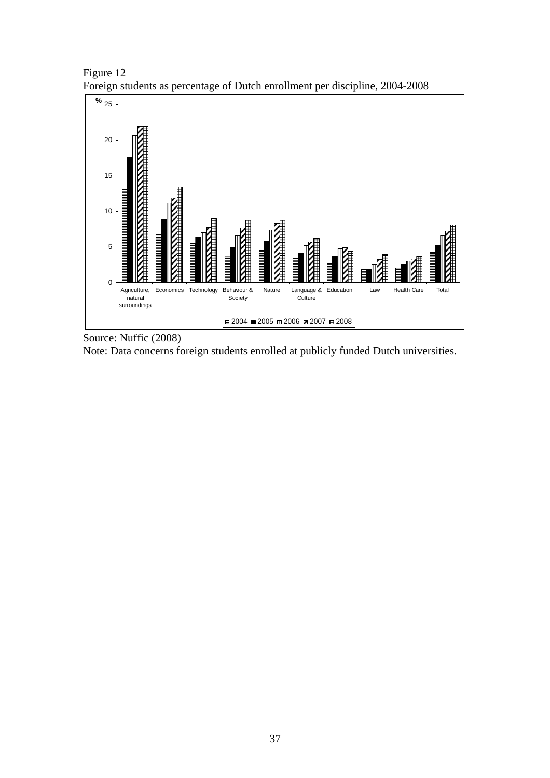Figure 12 Foreign students as percentage of Dutch enrollment per discipline, 2004-2008



Source: Nuffic (2008)

Note: Data concerns foreign students enrolled at publicly funded Dutch universities.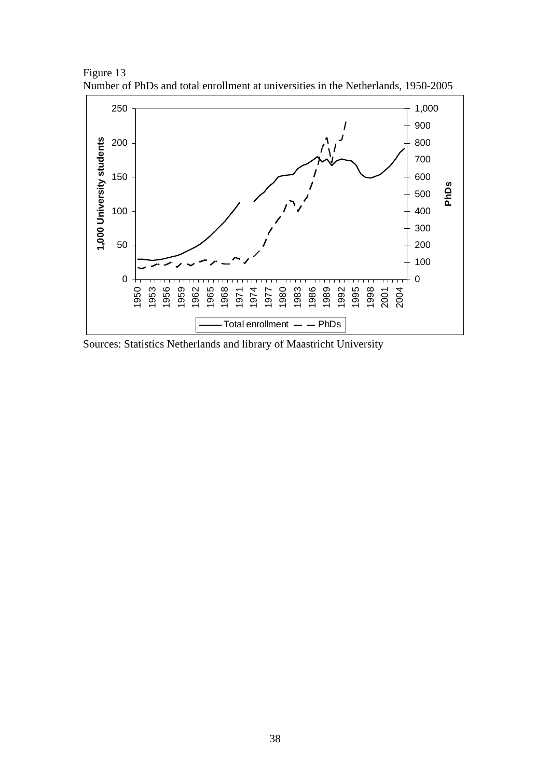

Figure 13 Number of PhDs and total enrollment at universities in the Netherlands, 1950-2005

Sources: Statistics Netherlands and library of Maastricht University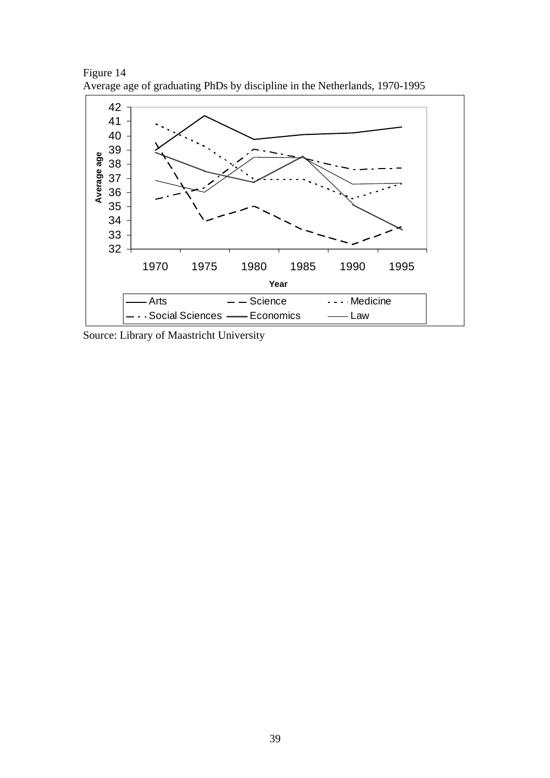



Source: Library of Maastricht University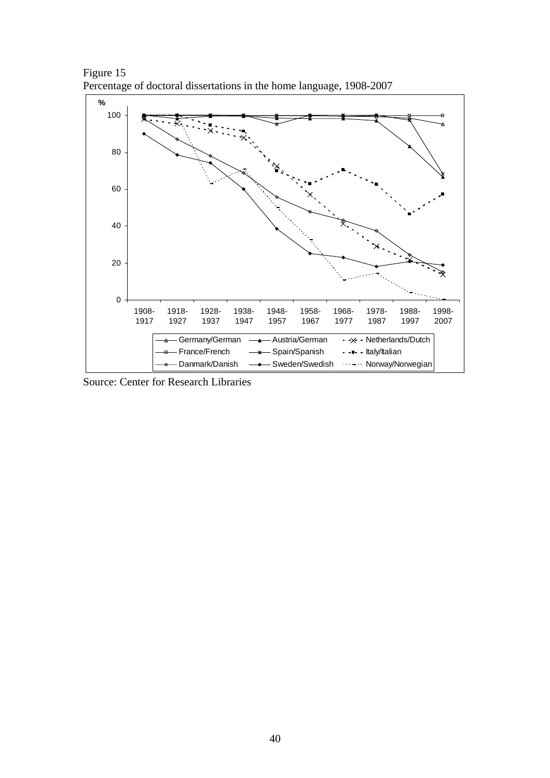Figure 15 Percentage of doctoral dissertations in the home language, 1908-2007



Source: Center for Research Libraries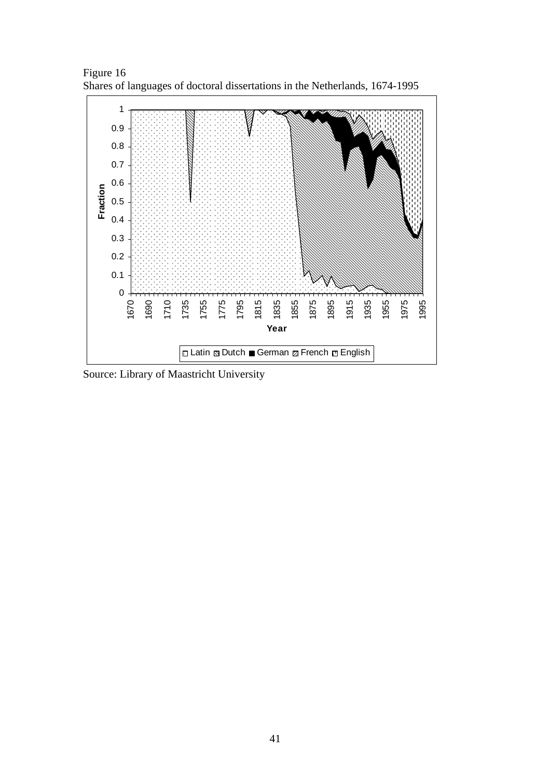

Figure 16 Shares of languages of doctoral dissertations in the Netherlands, 1674-1995

Source: Library of Maastricht University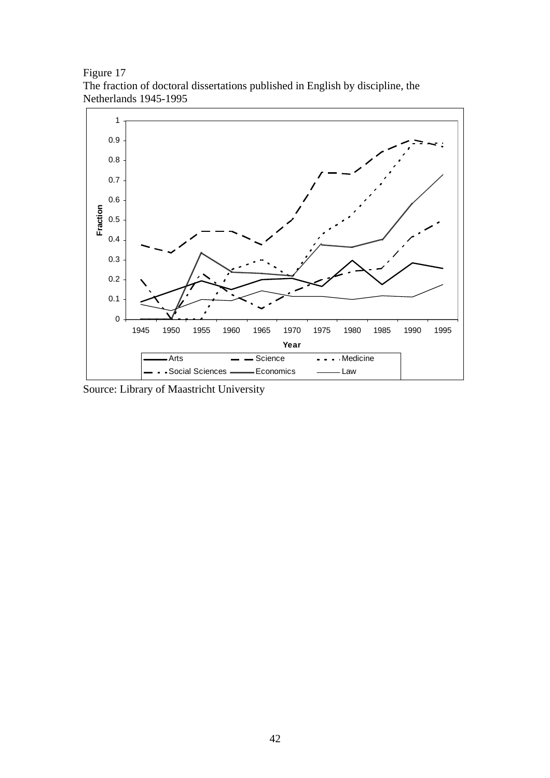Figure 17 The fraction of doctoral dissertations published in English by discipline, the Netherlands 1945-1995



Source: Library of Maastricht University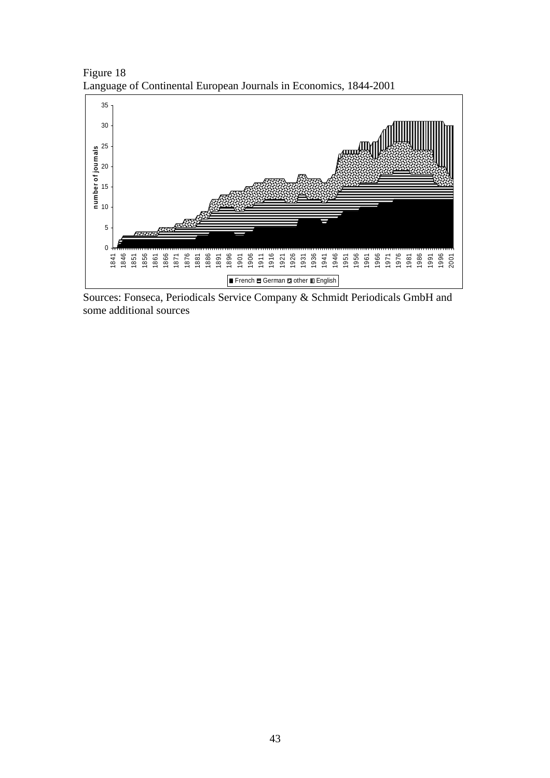Figure 18 Language of Continental European Journals in Economics, 1844-2001



Sources: Fonseca, Periodicals Service Company & Schmidt Periodicals GmbH and some additional sources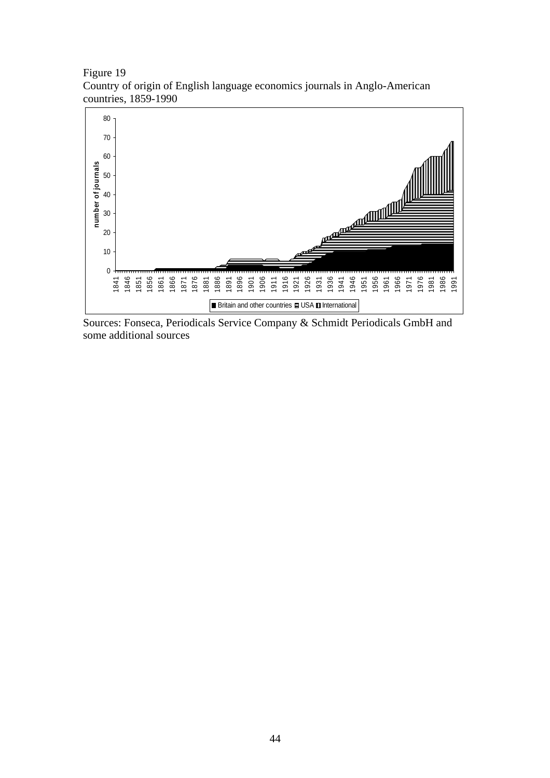Figure 19 Country of origin of English language economics journals in Anglo-American countries, 1859-1990



Sources: Fonseca, Periodicals Service Company & Schmidt Periodicals GmbH and some additional sources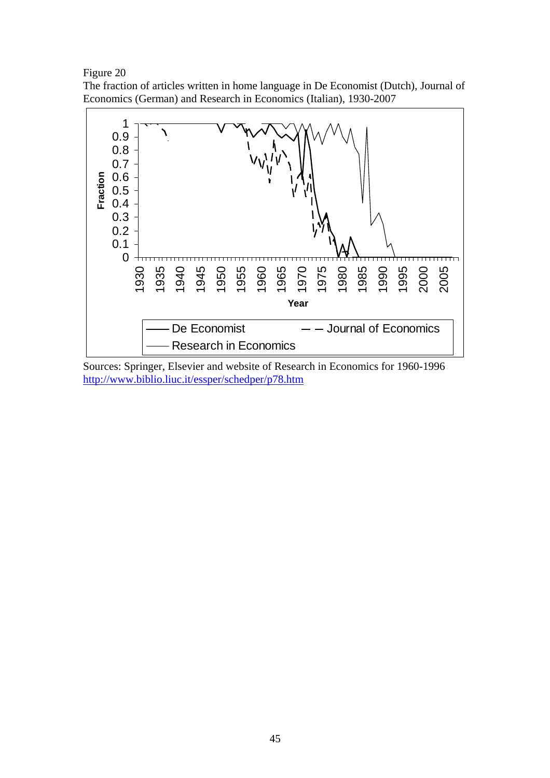Figure 20





Sources: Springer, Elsevier and website of Research in Economics for 1960-1996 http://www.biblio.liuc.it/essper/schedper/p78.htm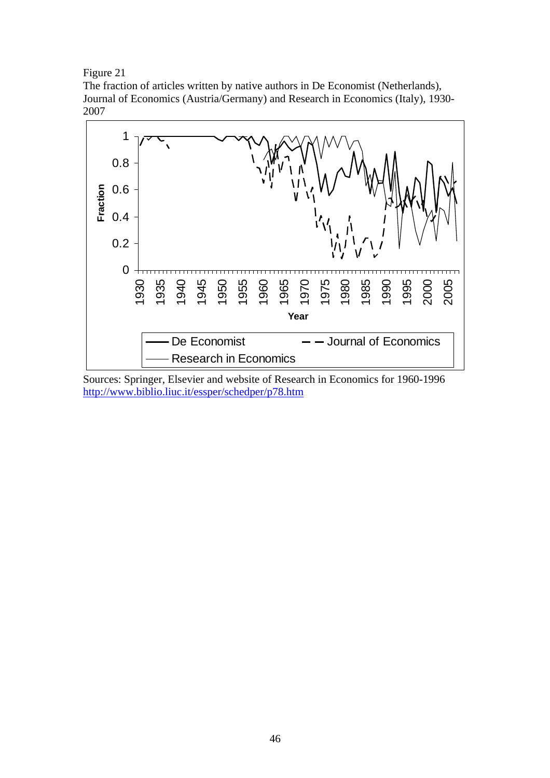Figure 21

The fraction of articles written by native authors in De Economist (Netherlands), Journal of Economics (Austria/Germany) and Research in Economics (Italy), 1930- 



Sources: Springer, Elsevier and website of Research in Economics for 1960-1996 http://www.biblio.liuc.it/essper/schedper/p78.htm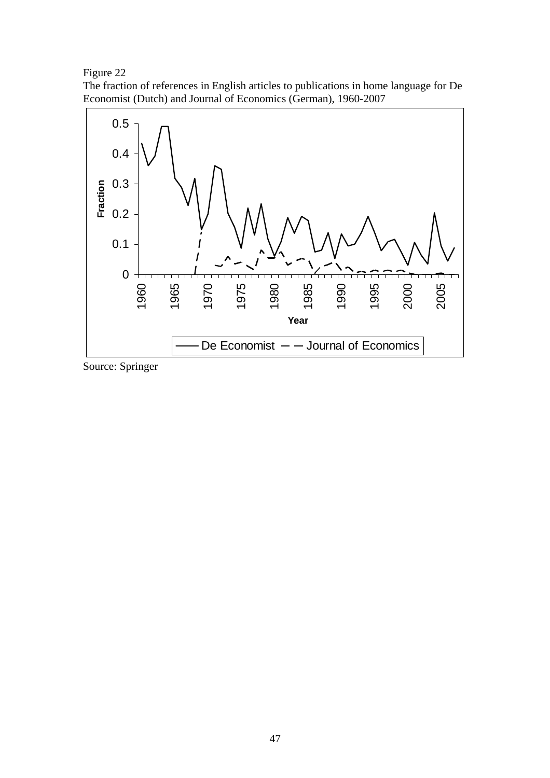Figure 22

The fraction of references in English articles to publications in home language for De Economist (Dutch) and Journal of Economics (German), 1960-2007



Source: Springer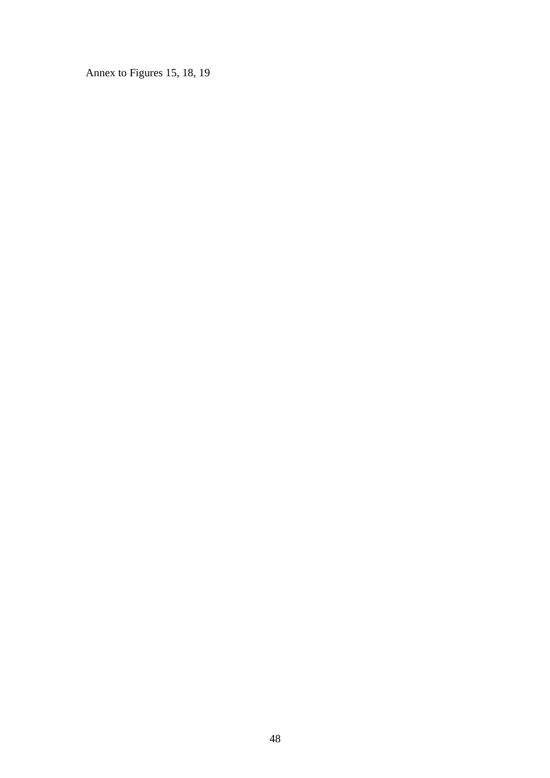Annex to Figures 15, 18, 19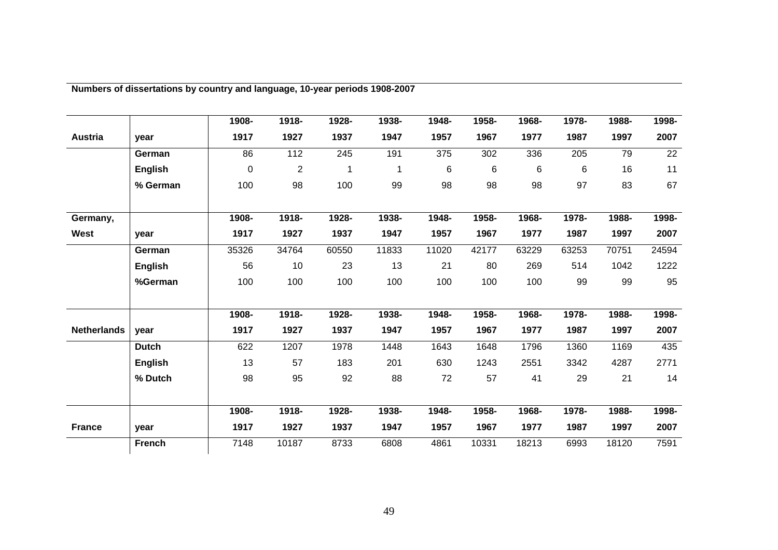|                    |                | 1908-   | 1918-          | 1928-            | 1938- | 1948- | 1958- | 1968- | 1978- | 1988- | 1998-           |
|--------------------|----------------|---------|----------------|------------------|-------|-------|-------|-------|-------|-------|-----------------|
| <b>Austria</b>     | year           | 1917    | 1927           | 1937             | 1947  | 1957  | 1967  | 1977  | 1987  | 1997  | 2007            |
|                    | German         | 86      | 112            | $\overline{245}$ | 191   | 375   | 302   | 336   | 205   | 79    | $\overline{22}$ |
|                    | <b>English</b> | $\,0\,$ | $\overline{2}$ | 1                | 1     | 6     | 6     | 6     | 6     | 16    | 11              |
|                    | % German       | 100     | 98             | 100              | 99    | 98    | 98    | 98    | 97    | 83    | 67              |
| Germany,           |                | 1908-   | 1918-          | 1928-            | 1938- | 1948- | 1958- | 1968- | 1978- | 1988- | 1998-           |
| West               | year           | 1917    | 1927           | 1937             | 1947  | 1957  | 1967  | 1977  | 1987  | 1997  | 2007            |
|                    | German         | 35326   | 34764          | 60550            | 11833 | 11020 | 42177 | 63229 | 63253 | 70751 | 24594           |
|                    | <b>English</b> | 56      | 10             | 23               | 13    | 21    | 80    | 269   | 514   | 1042  | 1222            |
|                    | %German        | 100     | 100            | 100              | 100   | 100   | 100   | 100   | 99    | 99    | 95              |
|                    |                | 1908-   | 1918-          | 1928-            | 1938- | 1948- | 1958- | 1968- | 1978- | 1988- | 1998-           |
| <b>Netherlands</b> | year           | 1917    | 1927           | 1937             | 1947  | 1957  | 1967  | 1977  | 1987  | 1997  | 2007            |
|                    | <b>Dutch</b>   | 622     | 1207           | 1978             | 1448  | 1643  | 1648  | 1796  | 1360  | 1169  | 435             |
|                    | <b>English</b> | 13      | 57             | 183              | 201   | 630   | 1243  | 2551  | 3342  | 4287  | 2771            |
|                    | % Dutch        | 98      | 95             | 92               | 88    | 72    | 57    | 41    | 29    | 21    | 14              |
|                    |                | 1908-   | 1918-          | 1928-            | 1938- | 1948- | 1958- | 1968- | 1978- | 1988- | 1998-           |
| <b>France</b>      | year           | 1917    | 1927           | 1937             | 1947  | 1957  | 1967  | 1977  | 1987  | 1997  | 2007            |
|                    | <b>French</b>  | 7148    | 10187          | 8733             | 6808  | 4861  | 10331 | 18213 | 6993  | 18120 | 7591            |

**Numbers of dissertations by country and language, 10-year periods 1908-2007**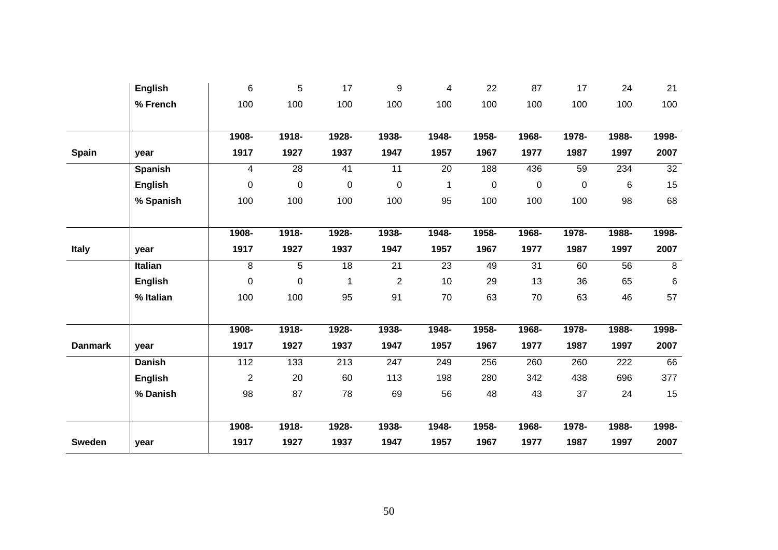|                | <b>English</b> | 6                | 5               | 17        | 9               | 4               | 22        | 87        | 17          | 24    | 21              |
|----------------|----------------|------------------|-----------------|-----------|-----------------|-----------------|-----------|-----------|-------------|-------|-----------------|
|                | % French       | 100              | 100             | 100       | 100             | 100             | 100       | 100       | 100         | 100   | 100             |
|                |                | 1908-            | 1918-           | 1928-     | 1938-           | 1948-           | 1958-     | 1968-     | 1978-       | 1988- | 1998-           |
| <b>Spain</b>   | year           | 1917             | 1927            | 1937      | 1947            | 1957            | 1967      | 1977      | 1987        | 1997  | 2007            |
|                | <b>Spanish</b> | 4                | $\overline{28}$ | 41        | $\overline{11}$ | $\overline{20}$ | 188       | 436       | 59          | 234   | $\overline{32}$ |
|                | <b>English</b> | $\pmb{0}$        | $\pmb{0}$       | $\pmb{0}$ | $\mathsf 0$     | 1               | $\pmb{0}$ | $\pmb{0}$ | $\mathsf 0$ | $\,6$ | 15              |
|                | % Spanish      | 100              | 100             | 100       | 100             | 95              | 100       | 100       | 100         | 98    | 68              |
|                |                | 1908-            | 1918-           | 1928-     | 1938-           | 1948-           | 1958-     | 1968-     | 1978-       | 1988- | 1998-           |
| <b>Italy</b>   | year           | 1917             | 1927            | 1937      | 1947            | 1957            | 1967      | 1977      | 1987        | 1997  | 2007            |
|                | Italian        | 8                | 5               | 18        | 21              | 23              | 49        | 31        | 60          | 56    | 8               |
|                | <b>English</b> | $\,0\,$          | $\pmb{0}$       | 1         | $\overline{c}$  | 10              | 29        | 13        | 36          | 65    | 6               |
|                | % Italian      | 100              | 100             | 95        | 91              | 70              | 63        | 70        | 63          | 46    | 57              |
|                |                | 1908-            | 1918-           | 1928-     | 1938-           | 1948-           | 1958-     | 1968-     | 1978-       | 1988- | 1998-           |
| <b>Danmark</b> | year           | 1917             | 1927            | 1937      | 1947            | 1957            | 1967      | 1977      | 1987        | 1997  | 2007            |
|                | <b>Danish</b>  | 112              | 133             | 213       | 247             | 249             | 256       | 260       | 260         | 222   | 66              |
|                | <b>English</b> | $\boldsymbol{2}$ | 20              | 60        | 113             | 198             | 280       | 342       | 438         | 696   | 377             |
|                | % Danish       | 98               | 87              | 78        | 69              | 56              | 48        | 43        | 37          | 24    | 15              |
|                |                | 1908-            | 1918-           | 1928-     | 1938-           | 1948-           | 1958-     | 1968-     | 1978-       | 1988- | 1998-           |
| <b>Sweden</b>  | year           | 1917             | 1927            | 1937      | 1947            | 1957            | 1967      | 1977      | 1987        | 1997  | 2007            |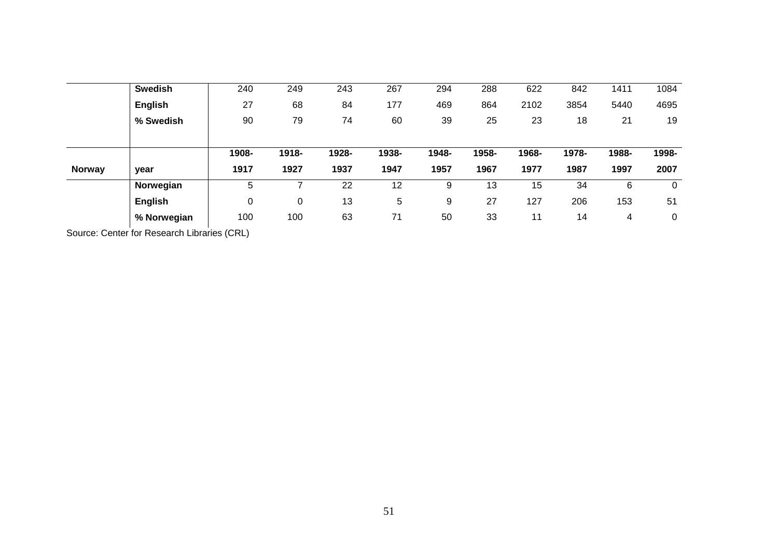|               | <b>Swedish</b> | 240   | 249   | 243   | 267   | 294   | 288   | 622   | 842   | 1411  | 1084        |
|---------------|----------------|-------|-------|-------|-------|-------|-------|-------|-------|-------|-------------|
|               | English        | 27    | 68    | 84    | 177   | 469   | 864   | 2102  | 3854  | 5440  | 4695        |
|               | % Swedish      | 90    | 79    | 74    | 60    | 39    | 25    | 23    | 18    | 21    | 19          |
|               |                |       |       |       |       |       |       |       |       |       |             |
|               |                | 1908- | 1918- | 1928- | 1938- | 1948- | 1958- | 1968- | 1978- | 1988- | 1998-       |
| <b>Norway</b> | year           | 1917  | 1927  | 1937  | 1947  | 1957  | 1967  | 1977  | 1987  | 1997  | 2007        |
|               | Norwegian      | 5     |       | 22    | 12    | 9     | 13    | 15    | 34    | 6     | $\Omega$    |
|               | English        | 0     | 0     | 13    | 5     | 9     | 27    | 127   | 206   | 153   | 51          |
|               | % Norwegian    | 100   | 100   | 63    | 71    | 50    | 33    | 11    | 14    | 4     | $\mathbf 0$ |
|               |                |       |       |       |       |       |       |       |       |       |             |

Source: Center for Research Libraries (CRL)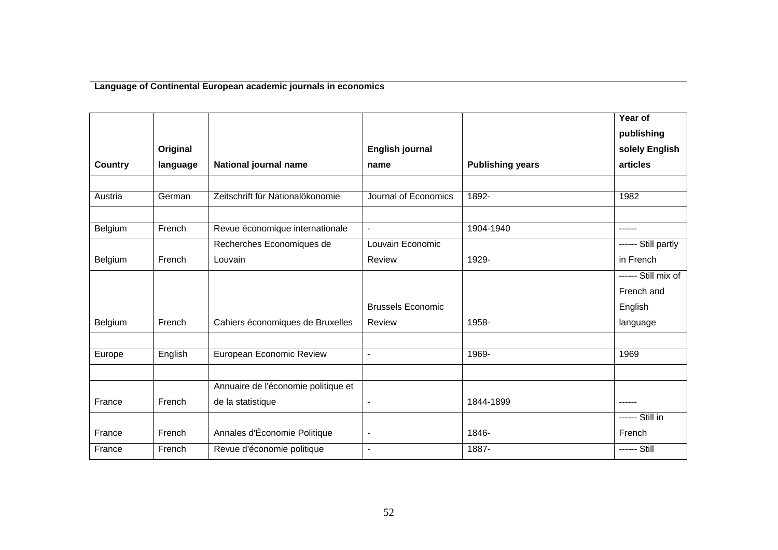**Language of Continental European academic journals in economics**

|                |          |                                     |                          |                         | Year of             |
|----------------|----------|-------------------------------------|--------------------------|-------------------------|---------------------|
|                |          |                                     |                          |                         | publishing          |
|                | Original |                                     | English journal          |                         | solely English      |
| <b>Country</b> | language | National journal name               | name                     | <b>Publishing years</b> | articles            |
|                |          |                                     |                          |                         |                     |
| Austria        | German   | Zeitschrift für Nationalökonomie    | Journal of Economics     | 1892-                   | 1982                |
|                |          |                                     |                          |                         |                     |
| Belgium        | French   | Revue économique internationale     |                          | 1904-1940               | ------              |
|                |          | Recherches Economiques de           | Louvain Economic         |                         | ------ Still partly |
| Belgium        | French   | Louvain                             | Review                   | 1929-                   | in French           |
|                |          |                                     |                          |                         | ------ Still mix of |
|                |          |                                     |                          |                         | French and          |
|                |          |                                     | <b>Brussels Economic</b> |                         | English             |
| Belgium        | French   | Cahiers économiques de Bruxelles    | Review                   | 1958-                   | language            |
|                |          |                                     |                          |                         |                     |
| Europe         | English  | European Economic Review            | $\blacksquare$           | 1969-                   | 1969                |
|                |          |                                     |                          |                         |                     |
|                |          | Annuaire de l'économie politique et |                          |                         |                     |
| France         | French   | de la statistique                   |                          | 1844-1899               |                     |
|                |          |                                     |                          |                         | ------ Still in     |
| France         | French   | Annales d'Économie Politique        | $\overline{\phantom{a}}$ | 1846-                   | French              |
| France         | French   | Revue d'économie politique          |                          | 1887-                   | ------ Still        |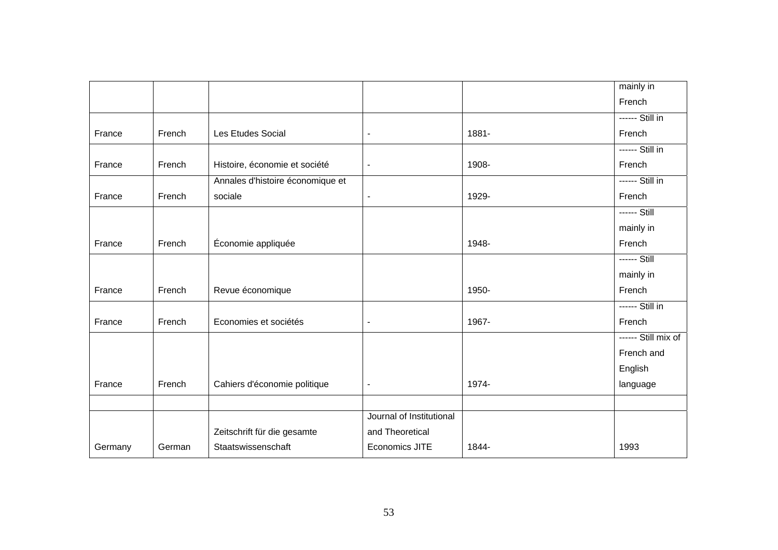|         |        |                                  |                          |       | mainly in           |
|---------|--------|----------------------------------|--------------------------|-------|---------------------|
|         |        |                                  |                          |       | French              |
|         |        |                                  |                          |       | ------ Still in     |
| France  | French | Les Etudes Social                | $\overline{\phantom{a}}$ | 1881- | French              |
|         |        |                                  |                          |       | ------ Still in     |
| France  | French | Histoire, économie et société    | $\blacksquare$           | 1908- | French              |
|         |        | Annales d'histoire économique et |                          |       | ------ Still in     |
| France  | French | sociale                          | $\blacksquare$           | 1929- | French              |
|         |        |                                  |                          |       | ------ Still        |
|         |        |                                  |                          |       | mainly in           |
| France  | French | Économie appliquée               |                          | 1948- | French              |
|         |        |                                  |                          |       | ------ Still        |
|         |        |                                  |                          |       | mainly in           |
| France  | French | Revue économique                 |                          | 1950- | French              |
|         |        |                                  |                          |       | ------ Still in     |
| France  | French | Economies et sociétés            | $\blacksquare$           | 1967- | French              |
|         |        |                                  |                          |       | ------ Still mix of |
|         |        |                                  |                          |       | French and          |
|         |        |                                  |                          |       | English             |
| France  | French | Cahiers d'économie politique     | $\blacksquare$           | 1974- | language            |
|         |        |                                  |                          |       |                     |
|         |        |                                  | Journal of Institutional |       |                     |
|         |        | Zeitschrift für die gesamte      | and Theoretical          |       |                     |
| Germany | German | Staatswissenschaft               | <b>Economics JITE</b>    | 1844- | 1993                |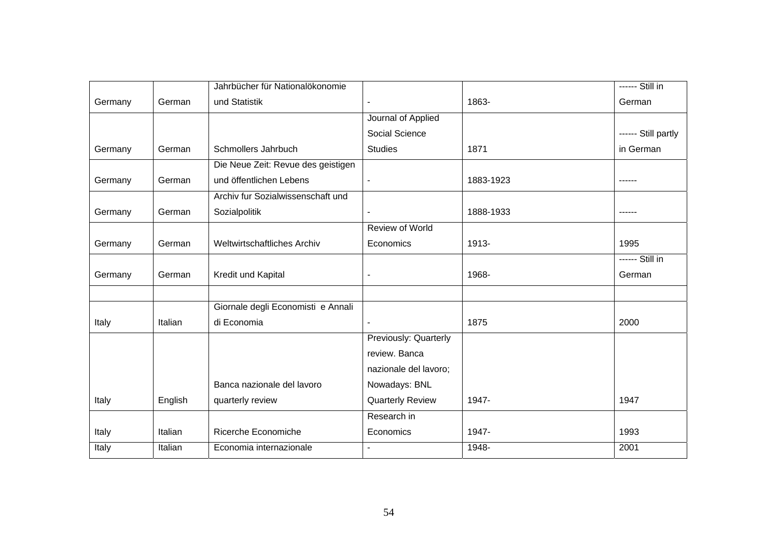|         |         | Jahrbücher für Nationalökonomie    |                          |           | ------ Still in     |
|---------|---------|------------------------------------|--------------------------|-----------|---------------------|
| Germany | German  | und Statistik                      | $\blacksquare$           | 1863-     | German              |
|         |         |                                    | Journal of Applied       |           |                     |
|         |         |                                    | Social Science           |           | ------ Still partly |
| Germany | German  | Schmollers Jahrbuch                | <b>Studies</b>           | 1871      | in German           |
|         |         | Die Neue Zeit: Revue des geistigen |                          |           |                     |
| Germany | German  | und öffentlichen Lebens            | $\overline{\phantom{a}}$ | 1883-1923 |                     |
|         |         | Archiv fur Sozialwissenschaft und  |                          |           |                     |
| Germany | German  | Sozialpolitik                      | $\blacksquare$           | 1888-1933 | ------              |
|         |         |                                    | Review of World          |           |                     |
| Germany | German  | Weltwirtschaftliches Archiv        | Economics                | 1913-     | 1995                |
|         |         |                                    |                          |           | ------ Still in     |
| Germany | German  | Kredit und Kapital                 | $\blacksquare$           | 1968-     | German              |
|         |         |                                    |                          |           |                     |
|         |         | Giornale degli Economisti e Annali |                          |           |                     |
| Italy   | Italian | di Economia                        | $\blacksquare$           | 1875      | 2000                |
|         |         |                                    | Previously: Quarterly    |           |                     |
|         |         |                                    | review. Banca            |           |                     |
|         |         |                                    | nazionale del lavoro;    |           |                     |
|         |         | Banca nazionale del lavoro         | Nowadays: BNL            |           |                     |
| Italy   | English | quarterly review                   | <b>Quarterly Review</b>  | 1947-     | 1947                |
|         |         |                                    | Research in              |           |                     |
| Italy   | Italian | Ricerche Economiche                | Economics                | 1947-     | 1993                |
| Italy   | Italian | Economia internazionale            |                          | 1948-     | 2001                |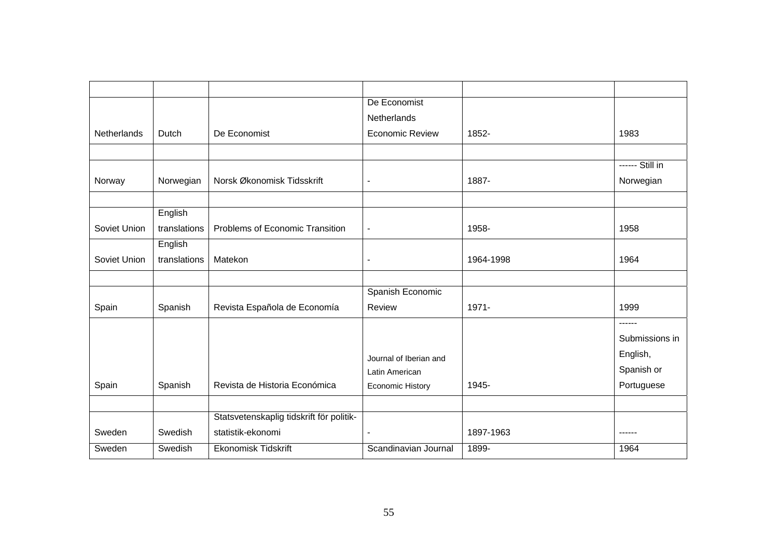|              |              |                                          | De Economist             |           |                 |
|--------------|--------------|------------------------------------------|--------------------------|-----------|-----------------|
|              |              |                                          | Netherlands              |           |                 |
| Netherlands  | Dutch        | De Economist                             | <b>Economic Review</b>   | 1852-     | 1983            |
|              |              |                                          |                          |           |                 |
|              |              |                                          |                          |           | ------ Still in |
| Norway       | Norwegian    | Norsk Økonomisk Tidsskrift               | $\overline{\phantom{a}}$ | 1887-     | Norwegian       |
|              |              |                                          |                          |           |                 |
|              | English      |                                          |                          |           |                 |
| Soviet Union | translations | Problems of Economic Transition          | $\blacksquare$           | 1958-     | 1958            |
|              | English      |                                          |                          |           |                 |
| Soviet Union | translations | Matekon                                  | $\overline{\phantom{a}}$ | 1964-1998 | 1964            |
|              |              |                                          |                          |           |                 |
|              |              |                                          | Spanish Economic         |           |                 |
| Spain        | Spanish      | Revista Española de Economía             | Review                   | $1971 -$  | 1999            |
|              |              |                                          |                          |           | ------          |
|              |              |                                          |                          |           | Submissions in  |
|              |              |                                          | Journal of Iberian and   |           | English,        |
|              |              |                                          | Latin American           |           | Spanish or      |
| Spain        | Spanish      | Revista de Historia Económica            | <b>Economic History</b>  | 1945-     | Portuguese      |
|              |              |                                          |                          |           |                 |
|              |              | Statsvetenskaplig tidskrift för politik- |                          |           |                 |
| Sweden       | Swedish      | statistik-ekonomi                        | $\blacksquare$           | 1897-1963 | ------          |
| Sweden       | Swedish      | <b>Ekonomisk Tidskrift</b>               | Scandinavian Journal     | 1899-     | 1964            |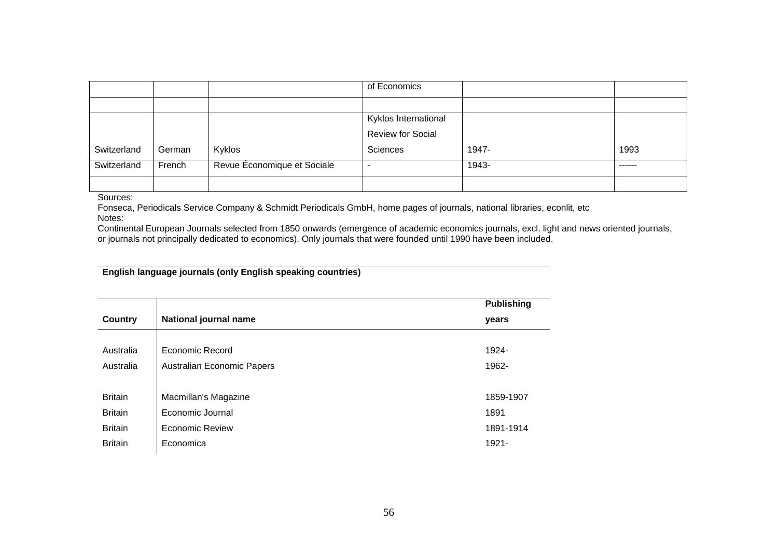|             |        |                             | of Economics             |       |        |
|-------------|--------|-----------------------------|--------------------------|-------|--------|
|             |        |                             |                          |       |        |
|             |        |                             | Kyklos International     |       |        |
|             |        |                             | <b>Review for Social</b> |       |        |
| Switzerland | German | Kyklos                      | Sciences                 | 1947- | 1993   |
| Switzerland | French | Revue Économique et Sociale |                          | 1943- | ------ |
|             |        |                             |                          |       |        |

#### Sources:

 Fonseca, Periodicals Service Company & Schmidt Periodicals GmbH, home pages of journals, national libraries, econlit, etc Notes:

 Continental European Journals selected from 1850 onwards (emergence of academic economics journals, excl. light and news oriented journals, or journals not principally dedicated to economics). Only journals that were founded until 1990 have been included.

| English language journals (only English speaking countries) |  |
|-------------------------------------------------------------|--|
|                                                             |  |

|                            | <b>Publishing</b> |
|----------------------------|-------------------|
| National journal name      | years             |
|                            |                   |
| Economic Record            | 1924-             |
| Australian Economic Papers | 1962-             |
|                            |                   |
| Macmillan's Magazine       | 1859-1907         |
| Economic Journal           | 1891              |
| Economic Review            | 1891-1914         |
| Economica                  | $1921 -$          |
|                            |                   |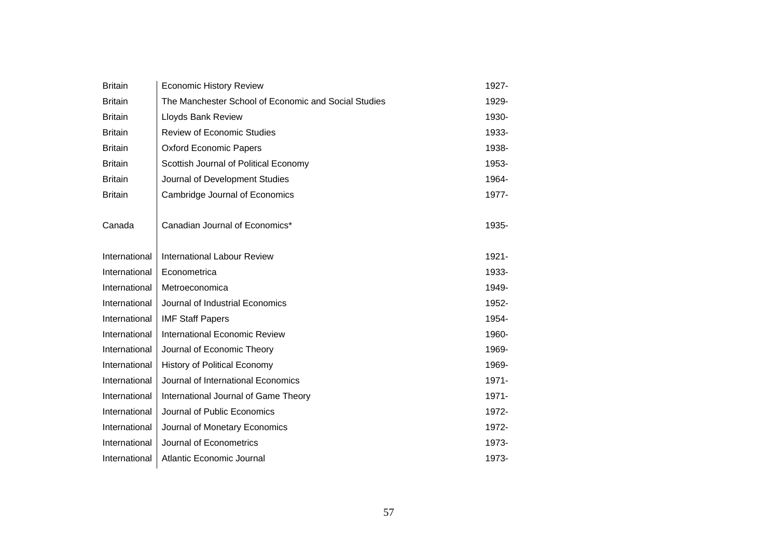| <b>Britain</b> | <b>Economic History Review</b>                       | 1927- |
|----------------|------------------------------------------------------|-------|
| <b>Britain</b> | The Manchester School of Economic and Social Studies | 1929- |
| <b>Britain</b> | Lloyds Bank Review                                   | 1930- |
| <b>Britain</b> | <b>Review of Economic Studies</b>                    | 1933- |
| <b>Britain</b> | <b>Oxford Economic Papers</b>                        | 1938- |
| <b>Britain</b> | Scottish Journal of Political Economy                | 1953- |
| <b>Britain</b> | Journal of Development Studies                       | 1964- |
| <b>Britain</b> | Cambridge Journal of Economics                       | 1977- |
|                |                                                      |       |
| Canada         | Canadian Journal of Economics*                       | 1935- |
|                |                                                      |       |
| International  | <b>International Labour Review</b>                   | 1921- |
| International  | Econometrica                                         | 1933- |
| International  | Metroeconomica                                       | 1949- |
| International  | Journal of Industrial Economics                      | 1952- |
| International  | <b>IMF Staff Papers</b>                              | 1954- |
| International  | International Economic Review                        | 1960- |
| International  | Journal of Economic Theory                           | 1969- |
| International  | <b>History of Political Economy</b>                  | 1969- |
| International  | Journal of International Economics                   | 1971- |
| International  | International Journal of Game Theory                 | 1971- |
| International  | Journal of Public Economics                          | 1972- |
| International  | Journal of Monetary Economics                        | 1972- |
| International  | Journal of Econometrics                              | 1973- |
| International  | <b>Atlantic Economic Journal</b>                     | 1973- |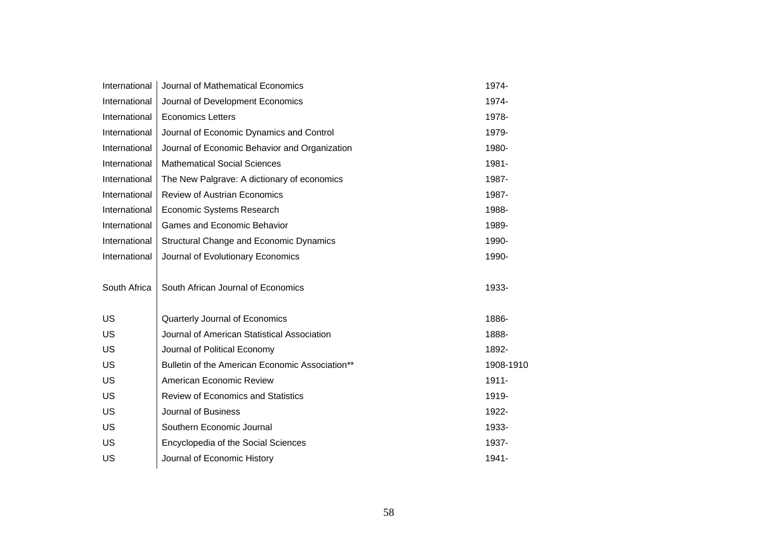| International | Journal of Mathematical Economics               | 1974-     |
|---------------|-------------------------------------------------|-----------|
| International | Journal of Development Economics                | 1974-     |
| International | <b>Economics Letters</b>                        | 1978-     |
| International | Journal of Economic Dynamics and Control        | 1979-     |
| International | Journal of Economic Behavior and Organization   | 1980-     |
| International | <b>Mathematical Social Sciences</b>             | 1981-     |
| International | The New Palgrave: A dictionary of economics     | 1987-     |
| International | <b>Review of Austrian Economics</b>             | 1987-     |
| International | Economic Systems Research                       | 1988-     |
| International | Games and Economic Behavior                     | 1989-     |
| International | <b>Structural Change and Economic Dynamics</b>  | 1990-     |
| International | Journal of Evolutionary Economics               | 1990-     |
| South Africa  | South African Journal of Economics              | 1933-     |
| US            | <b>Quarterly Journal of Economics</b>           | 1886-     |
| <b>US</b>     | Journal of American Statistical Association     | 1888-     |
| <b>US</b>     | Journal of Political Economy                    | 1892-     |
| <b>US</b>     | Bulletin of the American Economic Association** | 1908-1910 |
| <b>US</b>     | American Economic Review                        | $1911 -$  |
| <b>US</b>     | Review of Economics and Statistics              | 1919-     |
| <b>US</b>     | Journal of Business                             | 1922-     |
| <b>US</b>     | Southern Economic Journal                       | 1933-     |
| US            | Encyclopedia of the Social Sciences             | 1937-     |
| US            | Journal of Economic History                     | 1941-     |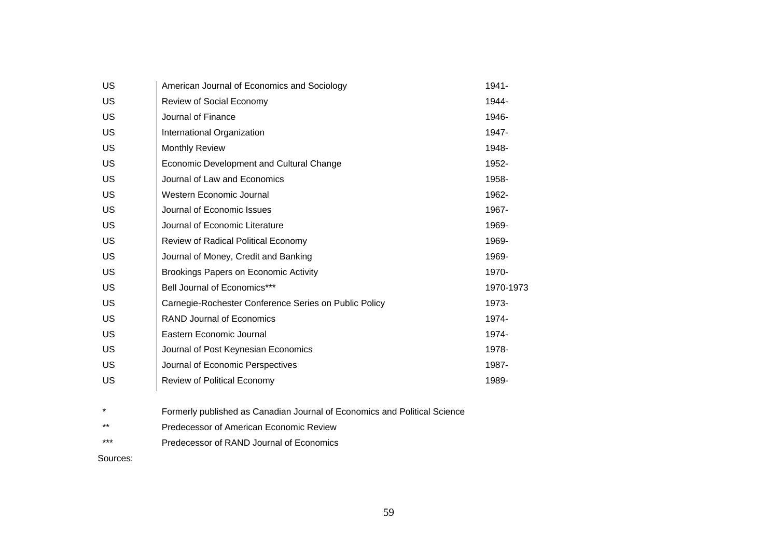| US | American Journal of Economics and Sociology           | 1941-     |
|----|-------------------------------------------------------|-----------|
| US | Review of Social Economy                              | 1944-     |
| US | Journal of Finance                                    | 1946-     |
| US | International Organization                            | 1947-     |
| US | <b>Monthly Review</b>                                 | 1948-     |
| US | Economic Development and Cultural Change              | 1952-     |
| US | Journal of Law and Economics                          | 1958-     |
| US | Western Economic Journal                              | 1962-     |
| US | Journal of Economic Issues                            | 1967-     |
| US | Journal of Economic Literature                        | 1969-     |
| US | Review of Radical Political Economy                   | 1969-     |
| US | Journal of Money, Credit and Banking                  | 1969-     |
| US | <b>Brookings Papers on Economic Activity</b>          | 1970-     |
| US | Bell Journal of Economics***                          | 1970-1973 |
| US | Carnegie-Rochester Conference Series on Public Policy | 1973-     |
| US | <b>RAND Journal of Economics</b>                      | 1974-     |
| US | Eastern Economic Journal                              | 1974-     |
| US | Journal of Post Keynesian Economics                   | 1978-     |
| US | Journal of Economic Perspectives                      | 1987-     |
| US | <b>Review of Political Economy</b>                    | 1989-     |
|    |                                                       |           |

\* Formerly published as Canadian Journal of Economics and Political Science

\*\* Predecessor of American Economic Review

\*\*\* Predecessor of RAND Journal of Economics

Sources: